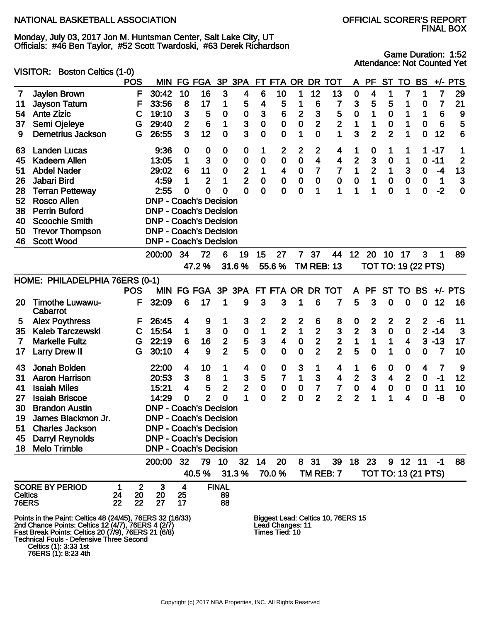Monday, July 03, 2017 Jon M. Huntsman Center, Salt Lake City, UT Officials: #46 Ben Taylor, #52 Scott Twardoski, #63 Derek Richardson

Game Duration: 1:52 Attendance: Not Counted Yet

|              |                     | VISITOR: Boston Celtics (1-0)                                                                                                                                                                                                                                             |            |              |                               |                         |                   |                         |                         |                  |                                    |                         |                         |                                    |                         |                         |                  |                         |                            |                 |                         |
|--------------|---------------------|---------------------------------------------------------------------------------------------------------------------------------------------------------------------------------------------------------------------------------------------------------------------------|------------|--------------|-------------------------------|-------------------------|-------------------|-------------------------|-------------------------|------------------|------------------------------------|-------------------------|-------------------------|------------------------------------|-------------------------|-------------------------|------------------|-------------------------|----------------------------|-----------------|-------------------------|
|              |                     |                                                                                                                                                                                                                                                                           | <b>POS</b> |              |                               |                         | MIN FG FGA        |                         | 3P 3PA                  |                  | FT FTA OR                          |                         |                         | DR TOT                             | A                       | <b>PF</b>               | <b>ST</b>        | TO                      | <b>BS</b>                  |                 | $+/-$ PTS               |
| 7            |                     | Jaylen Brown                                                                                                                                                                                                                                                              |            | F            | 30:42                         | 10                      | 16                | 3                       | $\overline{\mathbf{4}}$ | 6                | 10                                 | 1                       | 12                      | 13                                 | $\bf{0}$                | 4                       | 1                | $\overline{7}$          | 1                          | $\overline{7}$  | 29                      |
| 11           |                     | <b>Jayson Tatum</b>                                                                                                                                                                                                                                                       |            | F            | 33:56                         | 8                       | 17                | 1                       | 5                       | 4                | 5                                  | 1                       | $6\phantom{1}6$         | 7                                  | $\mathbf{3}$            | 5                       | 5                | 1                       | 0                          | 7               | 21                      |
| 54           | <b>Ante Zizic</b>   |                                                                                                                                                                                                                                                                           |            | С            | 19:10                         | $\mathbf{3}$            | 5                 | $\boldsymbol{0}$        | $\mathbf 0$             | 3                | 6                                  | $\mathbf{2}$            | $\mathbf{3}$            | 5                                  | $\mathbf 0$             | 1                       | $\mathbf 0$      | 1                       | 1                          | $6\phantom{1}6$ | 9                       |
| 37           |                     | Semi Ojeleye                                                                                                                                                                                                                                                              |            | G            | 29:40                         | $\overline{2}$          | 6                 | 1                       | 3                       | $\bf{0}$         | $\mathbf 0$                        | $\mathbf 0$             | $\overline{2}$          | $\overline{\mathbf{2}}$            | 1                       | 1                       | $\mathbf 0$      | 1                       | $\bf{0}$                   | $6\phantom{1}6$ | 5                       |
| 9            |                     | <b>Demetrius Jackson</b>                                                                                                                                                                                                                                                  |            | G            | 26:55                         | 3 <sup>1</sup>          | 12                | $\mathbf 0$             | 3                       | $\mathbf 0$      | $\mathbf 0$                        | 1                       | $\mathbf 0$             | 1                                  | 3                       | $\overline{2}$          | $\overline{2}$   | 1                       | $\mathbf 0$                | 12              | 6                       |
| 63           |                     | <b>Landen Lucas</b>                                                                                                                                                                                                                                                       |            |              | 9:36                          | $\mathbf 0$             | 0                 | $\mathbf 0$             | 0                       | 1                | $\boldsymbol{2}$                   | $\overline{\mathbf{2}}$ | $\mathbf{2}$            | 4                                  | 1                       | 0                       | 1                | 1                       | 1.                         | $-17$           | 1                       |
| 45           |                     | Kadeem Allen                                                                                                                                                                                                                                                              |            |              | 13:05                         | 1                       | 3                 | $\mathbf 0$             | 0                       | 0                | $\pmb{0}$                          | $\mathbf 0$             | $\overline{\mathbf{4}}$ | 4                                  | $\overline{2}$          | 3                       | $\mathbf 0$      | 1                       | $\mathbf 0$                | $-11$           | $\overline{\mathbf{c}}$ |
| 51           | <b>Abdel Nader</b>  |                                                                                                                                                                                                                                                                           |            |              | 29:02                         | 6                       | 11                | $\bf{0}$                | $\mathbf{2}$            | 1                | $\overline{\mathbf{4}}$            | $\pmb{0}$               | $\overline{7}$          | $\overline{7}$                     | $\mathbf 1$             | $\overline{\mathbf{2}}$ | 1                | $\mathbf{3}$            | $\bf{0}$                   | $-4$            | 13                      |
| 26           | Jabari Bird         |                                                                                                                                                                                                                                                                           |            |              | 4:59                          | 1                       | $\overline{2}$    | 1                       | $\overline{2}$          | $\mathbf 0$      | $\pmb{0}$                          | $\mathbf 0$             | $\bf{0}$                | $\bf{0}$                           | $\mathbf 0$             | 1                       | $\mathbf 0$      | $\mathbf 0$             | $\bf{0}$                   | $\mathbf 1$     | 3                       |
| 28           |                     | <b>Terran Petteway</b>                                                                                                                                                                                                                                                    |            |              | 2:55                          | 0                       | $\mathbf 0$       | 0                       | 0                       | $\mathbf 0$      | $\mathbf 0$                        | $\bf{0}$                | 1                       | 1                                  | 1                       | 1                       | $\mathbf 0$      | 1                       | $\mathbf 0$                | $-2$            | $\mathbf 0$             |
| 52           | <b>Rosco Allen</b>  |                                                                                                                                                                                                                                                                           |            |              | <b>DNP - Coach's Decision</b> |                         |                   |                         |                         |                  |                                    |                         |                         |                                    |                         |                         |                  |                         |                            |                 |                         |
| 38           |                     | <b>Perrin Buford</b>                                                                                                                                                                                                                                                      |            |              | <b>DNP - Coach's Decision</b> |                         |                   |                         |                         |                  |                                    |                         |                         |                                    |                         |                         |                  |                         |                            |                 |                         |
| 40           |                     | <b>Scoochie Smith</b>                                                                                                                                                                                                                                                     |            |              | <b>DNP - Coach's Decision</b> |                         |                   |                         |                         |                  |                                    |                         |                         |                                    |                         |                         |                  |                         |                            |                 |                         |
| 50           |                     | <b>Trevor Thompson</b>                                                                                                                                                                                                                                                    |            |              | <b>DNP - Coach's Decision</b> |                         |                   |                         |                         |                  |                                    |                         |                         |                                    |                         |                         |                  |                         |                            |                 |                         |
| 46           | <b>Scott Wood</b>   |                                                                                                                                                                                                                                                                           |            |              | <b>DNP - Coach's Decision</b> |                         |                   |                         |                         |                  |                                    |                         |                         |                                    |                         |                         |                  |                         |                            |                 |                         |
|              |                     |                                                                                                                                                                                                                                                                           |            |              | 200:00                        | 34                      | 72                | 6                       | 19                      | 15               | 27                                 | $\overline{7}$          | 37                      | 44                                 | 12                      | 20                      | 10               | 17                      | 3                          | 1               | 89                      |
|              |                     |                                                                                                                                                                                                                                                                           |            |              |                               |                         | 47.2%             |                         | 31.6%                   |                  | 55.6%                              |                         |                         | <b>TM REB: 13</b>                  |                         |                         |                  |                         | <b>TOT TO: 19 (22 PTS)</b> |                 |                         |
|              |                     | HOME: PHILADELPHIA 76ERS (0-1)                                                                                                                                                                                                                                            |            |              |                               |                         |                   |                         |                         |                  |                                    |                         |                         |                                    |                         |                         |                  |                         |                            |                 |                         |
|              |                     |                                                                                                                                                                                                                                                                           | <b>POS</b> |              |                               |                         | MIN FG FGA 3P 3PA |                         |                         |                  |                                    |                         |                         | FT FTA OR DR TOT                   |                         | A PF                    | <b>ST</b>        | <b>TO</b>               | <b>BS</b>                  |                 | $+/-$ PTS               |
| 20           | Cabarrot            | <b>Timothe Luwawu-</b>                                                                                                                                                                                                                                                    |            | F            | 32:09                         | 6                       | 17                | 1                       | 9                       | 3                | 3                                  | 1                       | 6                       | $\overline{7}$                     | 5                       | 3                       | $\mathbf 0$      | 0                       | $\mathbf 0$                | 12              | 16                      |
| 5            |                     | <b>Alex Poythress</b>                                                                                                                                                                                                                                                     |            | F            | 26:45                         | $\overline{\mathbf{4}}$ | 9                 | 1                       | 3                       | $\boldsymbol{2}$ | $\boldsymbol{2}$                   | $\mathbf{2}$            | 6                       | 8                                  | $\boldsymbol{0}$        | $\overline{\mathbf{c}}$ | $\boldsymbol{2}$ | $\mathbf{2}$            | $\overline{2}$             | -6              | 11                      |
| 35           |                     | <b>Kaleb Tarczewski</b>                                                                                                                                                                                                                                                   |            | $\mathbf C$  | 15:54                         | $\mathbf 1$             | $\mathbf{3}$      | $\mathbf 0$             | $\pmb{0}$               | $\mathbf 1$      | $\overline{2}$                     | $\mathbf{1}$            | $\overline{2}$          | $\mathbf{3}$                       | $\overline{\mathbf{2}}$ | 3                       | $\mathbf 0$      | $\mathbf 0$             |                            | $2 - 14$        | 3                       |
| 7            |                     | <b>Markelle Fultz</b>                                                                                                                                                                                                                                                     |            | G            | 22:19                         | 6                       | 16                | $\overline{\mathbf{c}}$ | 5                       | 3                | $\overline{\mathbf{4}}$            | $\mathbf 0$             | $\mathbf{2}$            |                                    | $\mathbf 1$             | $\mathbf 1$             | 1                | $\overline{\mathbf{4}}$ | 3 <sup>1</sup>             | $-13$           | 17                      |
| 17           |                     | <b>Larry Drew II</b>                                                                                                                                                                                                                                                      |            | G            | 30:10                         | $\overline{\mathbf{4}}$ | 9                 | $\overline{2}$          | 5                       | $\overline{0}$   | $\mathbf 0$                        | $\mathbf 0$             | $\overline{2}$          | $\frac{2}{2}$                      | 5                       | $\mathbf 0$             | 1                | 0                       | 0                          | $\overline{7}$  | 10                      |
| 43           |                     | Jonah Bolden                                                                                                                                                                                                                                                              |            |              | 22:00                         | 4                       | 10                | 1                       | 4                       | $\boldsymbol{0}$ | 0                                  | $\mathbf{3}$            | 1                       | 4                                  | 1                       | 6                       | $\boldsymbol{0}$ | 0                       | 4                          | $\overline{7}$  | 9                       |
| 31           |                     | <b>Aaron Harrison</b>                                                                                                                                                                                                                                                     |            |              | 20:53                         | 3                       | 8                 | 1                       | $\mathbf{3}$            | 5                | $\overline{7}$                     | 1                       | 3                       | $\overline{\mathbf{4}}$            | $\mathbf{2}$            | 3                       | $\boldsymbol{4}$ | $\overline{2}$          | $\mathbf 0$                | $-1$            | 12                      |
| 41           | <b>Isaiah Miles</b> |                                                                                                                                                                                                                                                                           |            |              | 15:21                         | $\overline{\mathbf{4}}$ | 5                 | $\mathbf{2}$            | $\overline{\mathbf{2}}$ | $\bf{0}$         | $\pmb{0}$                          | ${\bf 0}$               | 7                       | $\overline{7}$                     | ${\bf 0}$               | $\overline{\mathbf{4}}$ | $\pmb{0}$        | $\pmb{0}$               | $\pmb{0}$                  | 11              | 10                      |
| 27           |                     | <b>Isaiah Briscoe</b>                                                                                                                                                                                                                                                     |            |              | 14:29                         | 0                       | $\overline{2}$    | $\overline{0}$          | 1                       | $\mathbf 0$      | $\overline{2}$                     | $\mathbf 0$             | $\overline{2}$          | $\overline{2}$                     | $\overline{2}$          | 1                       | 1                | 4                       | $\mathbf 0$                | $-8$            | $\mathbf 0$             |
| 30           |                     | <b>Brandon Austin</b>                                                                                                                                                                                                                                                     |            |              | <b>DNP - Coach's Decision</b> |                         |                   |                         |                         |                  |                                    |                         |                         |                                    |                         |                         |                  |                         |                            |                 |                         |
| 19           |                     | James Blackmon Jr.                                                                                                                                                                                                                                                        |            |              | <b>DNP - Coach's Decision</b> |                         |                   |                         |                         |                  |                                    |                         |                         |                                    |                         |                         |                  |                         |                            |                 |                         |
| 51           |                     | <b>Charles Jackson</b>                                                                                                                                                                                                                                                    |            |              | <b>DNP - Coach's Decision</b> |                         |                   |                         |                         |                  |                                    |                         |                         |                                    |                         |                         |                  |                         |                            |                 |                         |
| 45           |                     | <b>Darryl Reynolds</b>                                                                                                                                                                                                                                                    |            |              | <b>DNP - Coach's Decision</b> |                         |                   |                         |                         |                  |                                    |                         |                         |                                    |                         |                         |                  |                         |                            |                 |                         |
| 18           |                     | <b>Melo Trimble</b>                                                                                                                                                                                                                                                       |            |              | <b>DNP - Coach's Decision</b> |                         |                   |                         |                         |                  |                                    |                         |                         |                                    |                         |                         |                  |                         |                            |                 |                         |
|              |                     |                                                                                                                                                                                                                                                                           |            |              | 200:00                        | 32                      |                   | 79 10                   | 32                      | 14               | 20                                 |                         | 8 31                    |                                    |                         | 39 18 23                |                  |                         | $9$ 12 11 -1               |                 | 88                      |
|              |                     |                                                                                                                                                                                                                                                                           |            |              |                               |                         | 40.5%             |                         | 31.3%                   |                  | 70.0%                              |                         |                         | TM REB: 7                          |                         |                         |                  |                         | <b>TOT TO: 13 (21 PTS)</b> |                 |                         |
|              |                     | <b>SCORE BY PERIOD</b>                                                                                                                                                                                                                                                    | 1          | $\mathbf{2}$ | 3                             | $\overline{\mathbf{4}}$ |                   | <b>FINAL</b>            |                         |                  |                                    |                         |                         |                                    |                         |                         |                  |                         |                            |                 |                         |
| Celtics      |                     |                                                                                                                                                                                                                                                                           | 24         | 20           | 20                            | 25                      |                   | 89                      |                         |                  |                                    |                         |                         |                                    |                         |                         |                  |                         |                            |                 |                         |
| <b>76ERS</b> |                     |                                                                                                                                                                                                                                                                           | 22         | 22           | 27                            | 17                      |                   | 88                      |                         |                  |                                    |                         |                         |                                    |                         |                         |                  |                         |                            |                 |                         |
|              |                     | Points in the Paint: Celtics 48 (24/45), 76ERS 32 (16/33)<br>2nd Chance Points: Celtics 12 (4/7), 76ERS 4 (2/7)<br>Fast Break Points: Celtics 20 (7/9), 76ERS 21 (6/8)<br><b>Technical Fouls - Defensive Three Second</b><br>Celtics (1): 3:33 1st<br>76ERS (1): 8:23 4th |            |              |                               |                         |                   |                         |                         |                  | Lead Changes: 11<br>Times Tied: 10 |                         |                         | Biggest Lead: Celtics 10, 76ERS 15 |                         |                         |                  |                         |                            |                 |                         |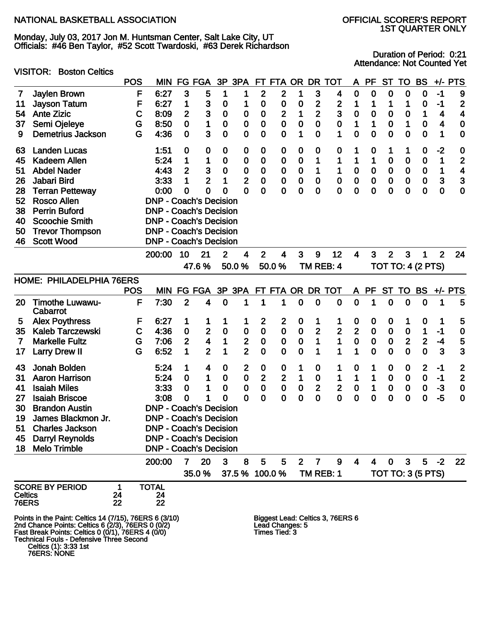VISITOR: Boston Celtics

Monday, July 03, 2017 Jon M. Huntsman Center, Salt Lake City, UT Officials: #46 Ben Taylor, #52 Scott Twardoski, #63 Derek Richardson

## 1ST QUARTER ONLY

Duration of Period: 0:21 Attendance: Not Counted Yet

#### POS MIN FG FGA 3P 3PA FT FTA OR DR TOT A PF ST TO BS +/- PTS 7 Jaylen Brown F 6:27 3 5 1 1 2 2 1 3 4 0 0 0 0 0 -1 9 11 Jayson Tatum F 6:27 1 3 0 1 0 0 0 2 2 1 1 1 1 0 -1 2 54 Ante Zizic C 8:09 2 3 0 0 0 2 1 2 3 0 0 0 0 1 4 4 37 Semi Ojeleye G 8:50 0 1 0 0 0 0 0 0 0 1 1 0 1 0 4 0 9 Demetrius Jackson G 4:36 0 3 0 0 0 0 1 0 1 0 0 0 0 0 1 0 63 Landen Lucas 1:51 0 0 0 0 0 0 0 0 0 1 0 1 1 0 -2 0 45 Kadeem Allen 5:24 1 1 0 0 0 0 0 1 1 1 1 0 0 0 1 2 51 Abdel Nader 4:43 2 3 0 0 0 0 0 1 1 0 0 0 0 0 1 4 26 Jabari Bird 3:33 1 2 1 2 0 0 0 0 0 0 0 0 0 0 3 3 28 Terran Petteway 0:00 0 0 0 0 0 0 0 0 0 0 0 0 0 0 0 0 52 Rosco Allen DNP - Coach's Decision 38 Perrin Buford DNP - Coach's Decision 40 Scoochie Smith DNP - Coach's Decision 50 Trevor Thompson DNP - Coach's Decision 46 Scott Wood DNP - Coach's Decision 200:00 10 21 2 4 2 4 3 9 12 4 3 2 3 1 2 24 47.6 % 50.0 % 50.0 % TM REB: 4 TOT TO: 4 (2 PTS) HOME: PHILADELPHIA 76ERS POS MIN FG FGA 3P 3PA FT FTA OR DR TOT A PF ST TO BS +/- PTS 20 Timothe Luwawu-Cabarrot F 7:30 2 4 0 1 1 1 0 0 0 0 1 0 0 0 1 5 5 Alex Poythress F 6:27 1 1 1 1 2 2 0 1 1 0 0 0 1 0 1 5 35 Kaleb Tarczewski C 4:36 0 2 0 0 0 0 0 2 2 2 0 0 0 1 -1 0 7 Markelle Fultz G 7:06 2 4 1 2 0 0 0 1 1 0 0 0 2 2 -4 5 17 Larry Drew II G 6:52 1 2 1 2 0 0 0 1 1 1 0 0 0 0 3 3 43 Jonah Bolden 5:24 1 4 0 2 0 0 1 0 1 0 1 0 0 2 -1 2 31 Aaron Harrison 5:24 0 1 0 0 2 2 1 0 1 1 1 0 0 0 -1 2 41 Isaiah Miles 3:33 0 1 0 0 0 0 0 2 2 0 1 0 0 0 -3 0 27 Isaiah Briscoe 3:08 0 1 0 0 0 0 0 0 0 0 0 0 0 0 -5 0 30 Brandon Austin DNP - Coach's Decision 19 James Blackmon Jr. DNP - Coach's Decision 51 Charles Jackson DNP - Coach's Decision 45 Darryl Reynolds DNP - Coach's Decision 18 Melo Trimble DNP - Coach's Decision 200:00 7 20 3 8 5 5 2 7 9 4 4 0 3 5 -2 22 35.0 % 37.5 % 100.0 % TM REB: 1 TOT TO: 3 (5 PTS) SCORE BY PERIOD 1 TOTAL<br>Celtics 24 24 Celtics 24 24 **76ERS** Points in the Paint: Celtics 14 (7/15), 76ERS 6 (3/10) Biggest Lead: Celtics 3, 76ERS 6 2nd Chance Points: Celtics 6 (2/3), 76ERS 0 (0/2) Lead Changes: 5 Fast Break Points: Celtics 0 (0/1), 76ERS 4 (0/0) Times Tied: 3 Technical Fouls - Defensive Three Second

Celtics (1): 3:33 1st

76ERS: NONE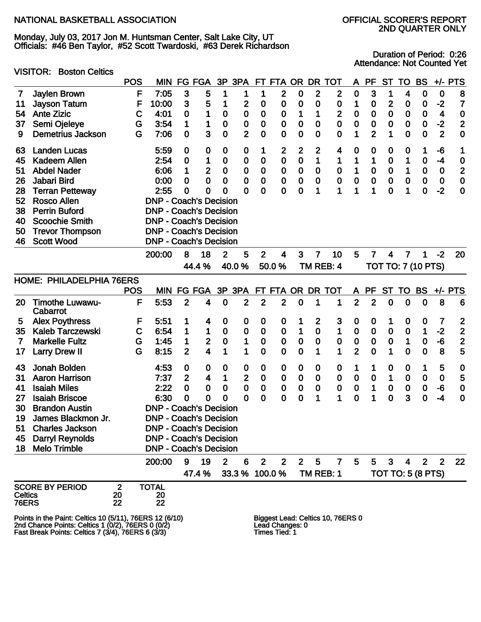VISITOR: Boston Celtics

Monday, July 03, 2017 Jon M. Huntsman Center, Salt Lake City, UT Officials: #46 Ben Taylor, #52 Scott Twardoski, #63 Derek Richardson

## 2ND QUARTER ONLY

Duration of Period: 0:26 Attendance: Not Counted Yet

|                         |                                                         | <b>POS</b>               | <b>MIN</b>                    | FG             | <b>FGA</b>              | 3P           | 3PA              |                | FT FTA         | OR.         | <b>DR</b>      | <b>TOT</b>                        | A              | <b>PF</b>      | <b>ST</b>        | TO                        | <b>BS</b>      | $+/-$          | <b>PTS</b>     |
|-------------------------|---------------------------------------------------------|--------------------------|-------------------------------|----------------|-------------------------|--------------|------------------|----------------|----------------|-------------|----------------|-----------------------------------|----------------|----------------|------------------|---------------------------|----------------|----------------|----------------|
| 7                       | Jaylen Brown                                            |                          | F<br>7:05                     | $\mathbf{3}$   | 5                       |              | 1                | 1              | $\mathbf{2}$   | 0           | $\mathbf{2}$   | $\mathbf{2}$                      | 0              | 3              | 1                | 4                         | 0              | $\bf{0}$       | 8              |
| 11                      | <b>Jayson Tatum</b>                                     |                          | F<br>10:00                    | 3              | 5                       |              | $\overline{2}$   | 0              | 0              | $\bf{0}$    | 0              | 0                                 | 1              | 0              | $\overline{2}$   | 0                         | 0              | $-2$           | 7              |
| 54                      | <b>Ante Zizic</b>                                       |                          | 4:01<br>C                     | 0              | 1                       | $\mathbf 0$  | $\boldsymbol{0}$ | $\mathbf 0$    | $\bf{0}$       | 1           | 1              | $\mathbf{2}$                      | 0              | 0              | $\bf{0}$         | 0                         | 0              | 4              | $\bf{0}$       |
| 37                      | Semi Ojeleye                                            |                          | 3:54<br>G                     | 1              | 1                       | $\bf{0}$     | $\boldsymbol{0}$ | 0              | 0              | 0           | 0              | $\mathbf 0$                       | 0              | 0              | $\bf{0}$         | 0                         | 0              | $-2$           | $\overline{2}$ |
| 9                       | <b>Demetrius Jackson</b>                                |                          | 7:06<br>G                     | $\mathbf 0$    | 3                       | $\mathbf 0$  | $\overline{2}$   | 0              | 0              | $\bf{0}$    | $\bf{0}$       | $\bf{0}$                          | 1              | $\overline{2}$ | 1                | 0                         | 0              | $\mathbf{2}$   | $\mathbf 0$    |
| 63                      | <b>Landen Lucas</b>                                     |                          | 5:59                          | $\mathbf 0$    | 0                       | 0            | 0                | 1              | 2              | 2           | $\mathbf{2}$   | 4                                 | 0              | 0              | 0                | 0                         | 1              | -6             | 1              |
| 45                      | <b>Kadeem Allen</b>                                     |                          | 2:54                          | $\mathbf 0$    | 1                       | 0            | $\mathbf 0$      | 0              | 0              | 0           | 1              | 1                                 | 1              | 1              | $\mathbf 0$      | 1                         | $\bf{0}$       | -4             | $\bf{0}$       |
| 51                      | <b>Abdel Nader</b>                                      |                          | 6:06                          | 1              | $\mathbf{2}$            | $\mathbf 0$  | $\mathbf 0$      | 0              | $\bf{0}$       | 0           | $\bf{0}$       | $\bf{0}$                          | 1              | 0              | $\mathbf 0$      | 1                         | $\bf{0}$       | $\mathbf 0$    | $\overline{2}$ |
| 26                      | Jabari Bird                                             |                          | 0:00                          | 0              | $\mathbf 0$             | $\mathbf 0$  | $\mathbf 0$      | 0              | 0              | 0           | $\bf{0}$       | $\bf{0}$                          | 0              | $\bf{0}$       | $\bf{0}$         | $\mathbf 0$               | $\bf{0}$       | $\bf{0}$       | $\mathbf 0$    |
| 28                      | <b>Terran Petteway</b>                                  |                          | 2:55                          | $\mathbf 0$    | 0                       | 0            | 0                | 0              | 0              | 0           | 1              | 1                                 | 1              | 1              | 0                | 1                         | $\bf{0}$       | $-2$           | $\mathbf 0$    |
| 52                      | <b>Rosco Allen</b>                                      |                          | <b>DNP - Coach's Decision</b> |                |                         |              |                  |                |                |             |                |                                   |                |                |                  |                           |                |                |                |
| 38                      | <b>Perrin Buford</b>                                    |                          | <b>DNP - Coach's Decision</b> |                |                         |              |                  |                |                |             |                |                                   |                |                |                  |                           |                |                |                |
| 40                      | <b>Scoochie Smith</b>                                   |                          | <b>DNP - Coach's Decision</b> |                |                         |              |                  |                |                |             |                |                                   |                |                |                  |                           |                |                |                |
| 50                      | <b>Trevor Thompson</b>                                  |                          | <b>DNP - Coach's Decision</b> |                |                         |              |                  |                |                |             |                |                                   |                |                |                  |                           |                |                |                |
| 46                      | <b>Scott Wood</b>                                       |                          | <b>DNP - Coach's Decision</b> |                |                         |              |                  |                |                |             |                |                                   |                |                |                  |                           |                |                |                |
|                         |                                                         |                          | 200:00                        | 8              | 18                      | 2            | 5                | $\overline{2}$ | 4              | 3           | $\overline{7}$ | 10                                | 5              | $\overline{7}$ | 4                | $\overline{7}$            | 1              | $-2$           | 20             |
|                         |                                                         |                          |                               |                | 44.4 %                  |              | 40.0%            |                | 50.0%          |             |                | TM REB: 4                         |                |                |                  | <b>TOT TO: 7 (10 PTS)</b> |                |                |                |
|                         | HOME: PHILADELPHIA 76ERS                                |                          |                               |                |                         |              |                  |                |                |             |                |                                   |                |                |                  |                           |                |                |                |
|                         |                                                         | <b>POS</b>               | <b>MIN</b>                    |                | FG FGA                  |              | 3P 3PA           |                | FT FTA OR DR   |             |                | <b>TOT</b>                        | A              | PF             | <b>ST</b>        | TO                        | <b>BS</b>      |                | $+/-$ PTS      |
| 20                      | <b>Timothe Luwawu-</b><br>Cabarrot                      |                          | F<br>5:53                     | $\overline{2}$ | 4                       | $\mathbf 0$  | $\mathbf{2}$     | $\mathbf{2}$   | $\overline{2}$ | $\bf{0}$    | 1              | 1                                 | $\overline{2}$ | $\overline{2}$ | $\mathbf 0$      | $\mathbf 0$               | $\mathbf 0$    | 8              | 6              |
| 5                       | <b>Alex Poythress</b>                                   |                          | 5:51<br>F                     | 1              | 4                       | 0            | $\mathbf 0$      | 0              | $\mathbf 0$    | 1           | $\mathbf{2}$   | 3                                 | $\mathbf 0$    | 0              | 1                | 0                         | 0              | 7              | $\mathbf{z}$   |
| 35                      | <b>Kaleb Tarczewski</b>                                 |                          | C<br>6:54                     | 1              | 1                       | $\mathbf 0$  | $\bf{0}$         | 0              | $\bf{0}$       | 1           | $\bf{0}$       | 1                                 | 0              | $\mathbf 0$    | $\mathbf 0$      | $\mathbf 0$               | 1              | $-2$           | $\overline{2}$ |
| 7                       | <b>Markelle Fultz</b>                                   |                          | 1:45<br>G                     | 1              | $\overline{\mathbf{2}}$ | $\bf{0}$     | 1                | 0              | $\bf{0}$       | 0           | $\bf{0}$       | $\bf{0}$                          | ${\bf 0}$      | $\bf{0}$       | $\bf{0}$         | 1                         | $\mathbf 0$    | -6             | $\overline{2}$ |
| 17                      | <b>Larry Drew II</b>                                    |                          | G<br>8:15                     | $\overline{2}$ | 4                       |              | 1                | 0              | 0              | $\mathbf 0$ | 1              | 1                                 | $\overline{2}$ | $\mathbf 0$    | 1                | 0                         | $\mathbf 0$    | 8              | 5              |
| 43                      | Jonah Bolden                                            |                          | 4:53                          | $\mathbf 0$    | 0                       | O            | 0                | 0              | 0              | 0           | 0              | $\boldsymbol{0}$                  | 1              | 1              | $\boldsymbol{0}$ | 0                         | 1              | 5              | $\bf{0}$       |
| 31                      | <b>Aaron Harrison</b>                                   |                          | 7:37                          | $\overline{2}$ | 4                       | 1            | $\mathbf 2$      | 0              | $\bf{0}$       | 0           | $\bf{0}$       | $\bf{0}$                          | 0              | $\bf{0}$       | 1                | 0                         | $\bf{0}$       | $\bf{0}$       | 5              |
| 41                      | <b>Isaiah Miles</b>                                     |                          | 2:22                          | 0              | 0                       | $\bf{0}$     | $\bf{0}$         | 0              | $\mathbf 0$    | 0           | $\bf{0}$       | $\bf{0}$                          | 0              | 1              | $\bf{0}$         | 0                         | $\bf{0}$       | -6             | $\mathbf 0$    |
| 27                      | <b>Isaiah Briscoe</b>                                   |                          | 6:30                          | $\mathbf 0$    | $\mathbf 0$             | 0            | 0                | 0              | 0              | $\mathbf 0$ | 1              | 1                                 | 0              | 1              | $\mathbf 0$      | 3                         | $\mathbf 0$    | $-4$           | $\mathbf 0$    |
| 30                      | <b>Brandon Austin</b>                                   |                          | <b>DNP - Coach's Decision</b> |                |                         |              |                  |                |                |             |                |                                   |                |                |                  |                           |                |                |                |
| 19                      | James Blackmon Jr.                                      |                          | <b>DNP - Coach's Decision</b> |                |                         |              |                  |                |                |             |                |                                   |                |                |                  |                           |                |                |                |
| 51                      | <b>Charles Jackson</b>                                  |                          | <b>DNP - Coach's Decision</b> |                |                         |              |                  |                |                |             |                |                                   |                |                |                  |                           |                |                |                |
|                         | 45 Darryl Reynolds                                      |                          | <b>DNP - Coach's Decision</b> |                |                         |              |                  |                |                |             |                |                                   |                |                |                  |                           |                |                |                |
| 18                      | <b>Melo Trimble</b>                                     |                          | <b>DNP - Coach's Decision</b> |                |                         |              |                  |                |                |             |                |                                   |                |                |                  |                           |                |                |                |
|                         |                                                         |                          | 200:00                        | 9              | 19                      | $\mathbf{2}$ | 6                | $\mathbf{2}$   | $\overline{2}$ | $2^{\circ}$ | 5              | $\mathbf{7}$                      | 5              | 5              | $\mathbf{3}$     | 4                         | 2 <sup>1</sup> | $\overline{2}$ | 22             |
|                         |                                                         |                          |                               |                | 47.4 %                  |              | 33.3 % 100.0 %   |                |                |             |                | TM REB: 1                         |                |                |                  | <b>TOT TO: 5 (8 PTS)</b>  |                |                |                |
| <b>Celtics</b><br>76ERS | <b>SCORE BY PERIOD</b>                                  | $\mathbf{2}$<br>20<br>22 | <b>TOTAL</b><br>20<br>22      |                |                         |              |                  |                |                |             |                |                                   |                |                |                  |                           |                |                |                |
|                         | Dointo in the Doint: Coltigo 40 (5/44), ZGEDS 49 (6/40) |                          |                               |                |                         |              |                  |                |                |             |                | Discord Load: Coltico 10, ZCEDO 0 |                |                |                  |                           |                |                |                |

Points in the Paint: Celtics 10 (5/11), 76ERS 12 (6/10) Biggest Lead: Celtics 10, 76ERS 0 2nd Chance Points: Celtics 1 (0/2), 76ERS 0 (0/2) Lead Changes: 0 Fast Break Points: Celtics 7 (3/4), 76ERS 6 (3/3) Times Tied: 1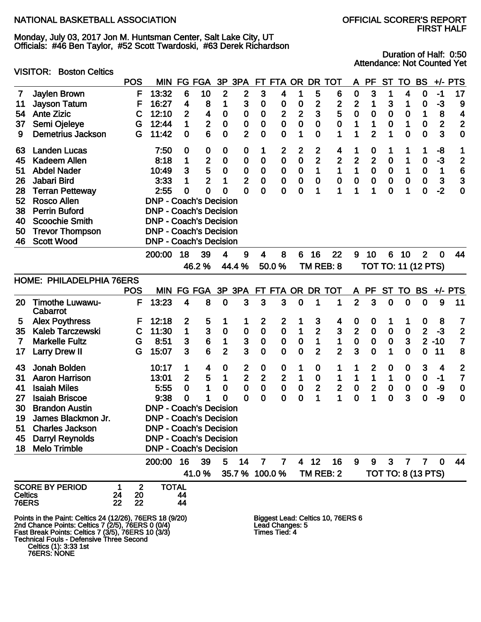Monday, July 03, 2017 Jon M. Huntsman Center, Salt Lake City, UT Officials: #46 Ben Taylor, #52 Scott Twardoski, #63 Derek Richardson

VISITOR: Boston Celtics

Duration of Half: 0:50 Attendance: Not Counted Yet

|              |                                                                                                                                                                                                                                          | <b>POS</b> | <b>MIN</b>                     | FG             | <b>FGA</b>      | 3P             | 3PA                     | FT                      | FTA OR                           |              | <b>DR</b>      | TOT                               | A                | <b>PF</b>      | <b>ST</b>   | TO           | <b>BS</b>                 | $+/-$        | <b>PTS</b>              |
|--------------|------------------------------------------------------------------------------------------------------------------------------------------------------------------------------------------------------------------------------------------|------------|--------------------------------|----------------|-----------------|----------------|-------------------------|-------------------------|----------------------------------|--------------|----------------|-----------------------------------|------------------|----------------|-------------|--------------|---------------------------|--------------|-------------------------|
| 7            | Jaylen Brown                                                                                                                                                                                                                             | F          | 13:32                          | 6              | 10              | 2              | $\boldsymbol{2}$        | 3                       | 4                                | 1            | 5              | 6                                 | $\boldsymbol{0}$ | 3              | 1           | 4            | 0                         | $-1$         | 17                      |
| 11           | <b>Jayson Tatum</b>                                                                                                                                                                                                                      | F          | 16:27                          | 4              | 8               | 1              | 3                       | $\mathbf 0$             | 0                                | 0            | $\mathbf 2$    | 2                                 | $\mathbf 2$      | 1              | 3           | 1            | 0                         | -3           | 9                       |
| 54           | <b>Ante Zizic</b>                                                                                                                                                                                                                        | С          | 12:10                          | $\overline{2}$ | 4               | $\bf{0}$       | 0                       | $\boldsymbol{0}$        | $\mathbf{2}$                     | $\mathbf{2}$ | 3              | 5                                 | 0                | $\mathbf 0$    | $\bf{0}$    | 0            | 1                         | 8            | 4                       |
| 37           | Semi Ojeleye                                                                                                                                                                                                                             | G          | 12:44                          | 1              | $\overline{2}$  | $\mathbf 0$    | 0                       | $\mathbf 0$             | $\bf{0}$                         | $\mathbf 0$  | $\bf{0}$       | $\bf{0}$                          | 1                | 1              | 0           | 1            | 0                         | $\mathbf{2}$ | $\overline{2}$          |
| 9            | <b>Demetrius Jackson</b>                                                                                                                                                                                                                 | G          | 11:42                          | $\mathbf 0$    | 6               | 0              | $\overline{2}$          | $\mathbf 0$             | $\mathbf 0$                      | 1            | $\bf{0}$       | 1                                 | 1                | $\overline{2}$ | 1           | 0            | $\mathbf 0$               | 3            | $\bf{0}$                |
| 63           | <b>Landen Lucas</b>                                                                                                                                                                                                                      |            | 7:50                           | 0              | 0               | 0              | 0                       | 1                       | $\mathbf{2}$                     | 2            | 2              | 4                                 | 1                | 0              | 1           | 1            | 1                         | -8           | 1                       |
| 45           | <b>Kadeem Allen</b>                                                                                                                                                                                                                      |            | 8:18                           | 1              | 2               | $\bf{0}$       | 0                       | 0                       | $\bf{0}$                         | $\bf{0}$     | $\overline{2}$ | $\mathbf{2}$                      | $\mathbf{2}$     | $\mathbf{2}$   | $\mathbf 0$ | 1            | $\mathbf 0$               | $-3$         | $\overline{\mathbf{c}}$ |
| 51           | <b>Abdel Nader</b>                                                                                                                                                                                                                       |            | 10:49                          | 3              | 5               | $\bf{0}$       | 0                       | $\bf{0}$                | $\bf{0}$                         | $\bf{0}$     | 1              | $\mathbf 1$                       | 1                | $\pmb{0}$      | $\pmb{0}$   | 1            | $\bf{0}$                  | 1            | 6                       |
| 26           | Jabari Bird                                                                                                                                                                                                                              |            | 3:33                           | 1              | $\overline{2}$  | 1              | $\overline{2}$          | $\bf{0}$                | $\bf{0}$                         | $\bf{0}$     | $\bf{0}$       | $\bf{0}$                          | $\pmb{0}$        | $\mathbf 0$    | $\mathbf 0$ | $\mathbf 0$  | $\mathbf 0$               | $\mathbf{3}$ | 3                       |
| 28           | <b>Terran Petteway</b>                                                                                                                                                                                                                   |            | 2:55                           | 0              | 0               | 0              | $\mathbf 0$             | $\mathbf 0$             | $\mathbf 0$                      | 0            | 1              | 1                                 | 1                | 1              | $\mathbf 0$ | 1            | $\mathbf 0$               | $-2$         | $\mathbf 0$             |
| 52           | <b>Rosco Allen</b>                                                                                                                                                                                                                       |            | <b>DNP - Coach's Decision</b>  |                |                 |                |                         |                         |                                  |              |                |                                   |                  |                |             |              |                           |              |                         |
| 38           | <b>Perrin Buford</b>                                                                                                                                                                                                                     |            | <b>DNP - Coach's Decision</b>  |                |                 |                |                         |                         |                                  |              |                |                                   |                  |                |             |              |                           |              |                         |
| 40           | <b>Scoochie Smith</b>                                                                                                                                                                                                                    |            | <b>DNP - Coach's Decision</b>  |                |                 |                |                         |                         |                                  |              |                |                                   |                  |                |             |              |                           |              |                         |
| 50           | <b>Trevor Thompson</b>                                                                                                                                                                                                                   |            | <b>DNP - Coach's Decision</b>  |                |                 |                |                         |                         |                                  |              |                |                                   |                  |                |             |              |                           |              |                         |
| 46           | <b>Scott Wood</b>                                                                                                                                                                                                                        |            | <b>DNP - Coach's Decision</b>  |                |                 |                |                         |                         |                                  |              |                |                                   |                  |                |             |              |                           |              |                         |
|              |                                                                                                                                                                                                                                          |            | 200:00                         | 18             | 39              | 4              | 9                       | $\overline{\mathbf{4}}$ | 8                                | 6            | 16             | 22                                | $9^{\circ}$      | 10             | 6           | 10           | $\overline{2}$            | $\mathbf 0$  | 44                      |
|              |                                                                                                                                                                                                                                          |            |                                |                | 46.2%           |                | 44.4 %                  |                         | 50.0%                            |              |                | TM REB: 8                         |                  |                |             |              | TOT TO: 11 (12 PTS)       |              |                         |
|              | HOME: PHILADELPHIA 76ERS                                                                                                                                                                                                                 |            |                                |                |                 |                |                         |                         |                                  |              |                |                                   |                  |                |             |              |                           |              |                         |
|              |                                                                                                                                                                                                                                          | <b>POS</b> | <b>MIN</b>                     |                | FG FGA          | 3P 3PA         |                         | FT.                     |                                  |              |                | FTA OR DR TOT                     |                  | A PF           | <b>ST</b>   | <b>TO</b>    | <b>BS</b>                 |              | $+/-$ PTS               |
| 20           | <b>Timothe Luwawu-</b><br>Cabarrot                                                                                                                                                                                                       | F          | 13:23                          | 4              | 8               | $\mathbf 0$    | 3                       | 3                       | 3                                | $\mathbf 0$  | 1              | 1                                 | $\overline{2}$   | 3              | $\mathbf 0$ | 0            | $\mathbf 0$               | 9            | 11                      |
| 5            | <b>Alex Poythress</b>                                                                                                                                                                                                                    | F          | 12:18                          | $\overline{2}$ | 5               | 1              | 1                       | $\boldsymbol{2}$        | $\boldsymbol{2}$                 | 1            | 3              | 4                                 | 0                | 0              | 1           | 1            | 0                         | 8            | 7                       |
| 35           | <b>Kaleb Tarczewski</b>                                                                                                                                                                                                                  | C          | 11:30                          | $\mathbf{1}$   | 3               | $\bf{0}$       | 0                       | $\bf{0}$                | $\bf{0}$                         | 1            | $\overline{2}$ | 3                                 | $\overline{2}$   | $\pmb{0}$      | $\pmb{0}$   | $\mathbf 0$  | $\overline{2}$            | $-3$         | $\overline{2}$          |
| 7            | <b>Markelle Fultz</b>                                                                                                                                                                                                                    | G          | 8:51                           | 3              | $6\phantom{1}6$ | 1              | 3                       | $\mathbf 0$             | $\pmb{0}$                        | $\bf{0}$     | 1              | 1                                 | $\mathbf 0$      | $\pmb{0}$      | $\pmb{0}$   | $\mathbf{3}$ | $\overline{2}$            | $-10$        | $\overline{7}$          |
| 17           | <b>Larry Drew II</b>                                                                                                                                                                                                                     | G          | 15:07                          | 3              | 6               | $\overline{2}$ | 3                       | $\mathbf 0$             | $\mathbf 0$                      | $\mathbf 0$  | $\overline{2}$ | $\overline{2}$                    | 3                | $\overline{0}$ | 1           | 0            | $\mathbf 0$               | 11           | 8                       |
| 43           | Jonah Bolden                                                                                                                                                                                                                             |            | 10:17                          | 1              | 4               | 0              | 2                       | $\mathbf 0$             | 0                                | 1            | $\bf{0}$       | 1                                 | 1                | 2              | 0           | 0            | 3                         | 4            | $\overline{\mathbf{c}}$ |
| 31           | <b>Aaron Harrison</b>                                                                                                                                                                                                                    |            | 13:01                          | $\overline{2}$ | 5               | 1              | $\overline{\mathbf{2}}$ | 2                       | $\mathbf{2}$                     | 1            | $\bf{0}$       | 1                                 | 1                | 1              | 1           | $\mathbf 0$  | $\bf{0}$                  | $-1$         | $\overline{7}$          |
| 41           | <b>Isaiah Miles</b>                                                                                                                                                                                                                      |            | 5:55                           | $\mathbf 0$    | 1               | $\mathbf 0$    | $\bf{0}$                | $\bf{0}$                | $\bf{0}$                         | $\bf{0}$     | $\mathbf{2}$   | $\overline{\mathbf{2}}$           | ${\bf 0}$        | $\mathbf{2}$   | $\pmb{0}$   | $\mathbf 0$  | $\pmb{0}$                 | -9           | $\bf{0}$                |
| 27           | <b>Isaiah Briscoe</b>                                                                                                                                                                                                                    |            | 9:38                           | 0              | 1               | 0              | $\mathbf 0$             | $\mathbf 0$             | $\mathbf 0$                      | $\mathbf 0$  | 1              | $\mathbf{1}$                      | $\mathbf 0$      | 1              | $\mathbf 0$ | 3            | $\mathbf 0$               | -9           | $\mathbf 0$             |
| 30           | <b>Brandon Austin</b>                                                                                                                                                                                                                    |            | <b>DNP - Coach's Decision</b>  |                |                 |                |                         |                         |                                  |              |                |                                   |                  |                |             |              |                           |              |                         |
| 19           | James Blackmon Jr.                                                                                                                                                                                                                       |            | <b>DNP - Coach's Decision</b>  |                |                 |                |                         |                         |                                  |              |                |                                   |                  |                |             |              |                           |              |                         |
| 51           | <b>Charles Jackson</b>                                                                                                                                                                                                                   |            | <b>DNP - Coach's Decision</b>  |                |                 |                |                         |                         |                                  |              |                |                                   |                  |                |             |              |                           |              |                         |
| 45           | <b>Darryl Reynolds</b>                                                                                                                                                                                                                   |            | <b>DNP - Coach's Decision</b>  |                |                 |                |                         |                         |                                  |              |                |                                   |                  |                |             |              |                           |              |                         |
| 18           | <b>Melo Trimble</b>                                                                                                                                                                                                                      |            | <b>DNP - Coach's Decision</b>  |                |                 |                |                         |                         |                                  |              |                |                                   |                  |                |             |              |                           |              |                         |
|              |                                                                                                                                                                                                                                          |            | 200:00                         | 16             | 39              | 5              | 14                      | 7                       | 7                                |              | 4 12           | 16                                | 9                | 9              | 3           | $\mathbf{7}$ | $\mathbf{7}$              | $\mathbf 0$  | 44                      |
|              |                                                                                                                                                                                                                                          |            |                                |                | 41.0%           |                |                         | 35.7 % 100.0 %          |                                  |              |                | TM REB: 2                         |                  |                |             |              | <b>TOT TO: 8 (13 PTS)</b> |              |                         |
|              | <b>SCORE BY PERIOD</b>                                                                                                                                                                                                                   | 1          | $\overline{2}$<br><b>TOTAL</b> |                |                 |                |                         |                         |                                  |              |                |                                   |                  |                |             |              |                           |              |                         |
| Celtics      |                                                                                                                                                                                                                                          | 20<br>24   |                                | 44             |                 |                |                         |                         |                                  |              |                |                                   |                  |                |             |              |                           |              |                         |
| <b>76ERS</b> |                                                                                                                                                                                                                                          | 22<br>22   |                                | 44             |                 |                |                         |                         |                                  |              |                |                                   |                  |                |             |              |                           |              |                         |
|              | Points in the Paint: Celtics 24 (12/26), 76ERS 18 (9/20)<br>2nd Chance Points: Celtics 7 (2/5), 76ERS 0 (0/4)<br>Fast Break Points: Celtics 7 (3/5), 76ERS 10 (3/3)<br>Technical Fouls - Defensive Three Second<br>Celtics (1): 3:33 1st |            |                                |                |                 |                |                         |                         | Lead Changes: 5<br>Times Tied: 4 |              |                | Biggest Lead: Celtics 10, 76ERS 6 |                  |                |             |              |                           |              |                         |

76ERS: NONE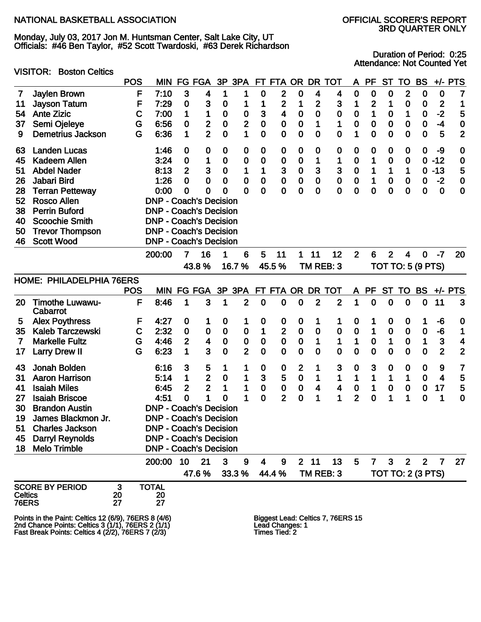VISITOR: Boston Celtics

Monday, July 03, 2017 Jon M. Huntsman Center, Salt Lake City, UT Officials: #46 Ben Taylor, #52 Scott Twardoski, #63 Derek Richardson

# 3RD QUARTER ONLY

Duration of Period: 0:25 Attendance: Not Counted Yet

|                |                                                      | <b>POS</b> | <b>MIN</b>                    | FG               | <b>FGA</b>              | 3P               | 3PA              |                         | FT FTA OR        |                  | DR             | <b>TOT</b>                        | A                | <b>PF</b>      | <b>ST</b>        | TO                       | <b>BS</b>   | $+/-$        | <b>PTS</b>              |
|----------------|------------------------------------------------------|------------|-------------------------------|------------------|-------------------------|------------------|------------------|-------------------------|------------------|------------------|----------------|-----------------------------------|------------------|----------------|------------------|--------------------------|-------------|--------------|-------------------------|
| 7              | Jaylen Brown                                         | F          | 7:10                          | $\mathbf{3}$     | 4                       | 1                | 1                | 0                       | $\mathbf{2}$     | $\bf{0}$         | 4              | 4                                 | 0                | $\bf{0}$       | 0                | $\mathbf{2}$             | $\bf{0}$    | $\bf{0}$     | 7                       |
| 11             | <b>Jayson Tatum</b>                                  | F          | 7:29                          | 0                | 3                       | 0                |                  | 1                       | 2                | 1                | $\mathbf{2}$   | $\mathbf{3}$                      | 1                | $\overline{c}$ | 1                | 0                        | $\mathbf 0$ | $\mathbf{2}$ | 1                       |
| 54             | <b>Ante Zizic</b>                                    | C          | 7:00                          | 1                | 1                       | $\boldsymbol{0}$ | $\boldsymbol{0}$ | 3                       | 4                | $\bf{0}$         | $\mathbf 0$    | 0                                 | 0                | 1              | $\bf{0}$         | 1                        | $\mathbf 0$ | $-2$         | 5                       |
| 37             | Semi Ojeleye                                         | G          | 6:56                          | 0                | $\overline{\mathbf{c}}$ | $\boldsymbol{0}$ | $\mathbf{2}$     | 0                       | 0                | $\bf{0}$         | 1              | 1                                 | 0                | $\bf{0}$       | $\bf{0}$         | 0                        | $\mathbf 0$ | $-4$         | 0                       |
| 9              | <b>Demetrius Jackson</b>                             | G          | 6:36                          | 1                | $\overline{2}$          | $\mathbf 0$      | 1                | 0                       | $\bf{0}$         | $\bf{0}$         | $\bf{0}$       | $\bf{0}$                          | 1                | $\bf{0}$       | $\mathbf 0$      | 0                        | $\bf{0}$    | 5            | $\mathbf{2}$            |
| 63             | <b>Landen Lucas</b>                                  |            | 1:46                          | $\boldsymbol{0}$ | 0                       | $\boldsymbol{0}$ | 0                | 0                       | 0                | $\bf{0}$         | 0              | 0                                 | 0                | 0              | $\boldsymbol{0}$ | 0                        | 0           | -9           | 0                       |
| 45             | <b>Kadeem Allen</b>                                  |            | 3:24                          | $\boldsymbol{0}$ | 1                       | $\bf{0}$         | 0                | 0                       | $\bf{0}$         | $\bf{0}$         | 1              | 1                                 | 0                | 1              | $\mathbf 0$      | 0                        | $\mathbf 0$ | $-12$        | 0                       |
| 51             | <b>Abdel Nader</b>                                   |            | 8:13                          | $\overline{2}$   | 3                       | 0                | 1                | 1                       | 3                | $\bf{0}$         | 3              | 3                                 | 0                | 1              | 1                | 1                        | 0           | $-13$        | 5                       |
| 26             | Jabari Bird                                          |            | 1:26                          | 0                | $\mathbf 0$             | $\mathbf 0$      | 0                | 0                       | $\bf{0}$         | $\bf{0}$         | $\bf{0}$       | $\mathbf 0$                       | 0                | 1              | $\bf{0}$         | 0                        | $\mathbf 0$ | $-2$         | 0                       |
| 28             | <b>Terran Petteway</b>                               |            | 0:00                          | 0                | $\mathbf 0$             | 0                | 0                | 0                       | 0                | 0                | $\bf{0}$       | $\mathbf 0$                       | 0                | 0              | $\mathbf 0$      | 0                        | 0           | $\mathbf 0$  | $\bf{0}$                |
| 52             | <b>Rosco Allen</b>                                   |            | <b>DNP - Coach's Decision</b> |                  |                         |                  |                  |                         |                  |                  |                |                                   |                  |                |                  |                          |             |              |                         |
| 38             | <b>Perrin Buford</b>                                 |            | <b>DNP - Coach's Decision</b> |                  |                         |                  |                  |                         |                  |                  |                |                                   |                  |                |                  |                          |             |              |                         |
| 40             | <b>Scoochie Smith</b>                                |            | <b>DNP - Coach's Decision</b> |                  |                         |                  |                  |                         |                  |                  |                |                                   |                  |                |                  |                          |             |              |                         |
| 50             | <b>Trevor Thompson</b>                               |            | <b>DNP - Coach's Decision</b> |                  |                         |                  |                  |                         |                  |                  |                |                                   |                  |                |                  |                          |             |              |                         |
| 46             | <b>Scott Wood</b>                                    |            | <b>DNP - Coach's Decision</b> |                  |                         |                  |                  |                         |                  |                  |                |                                   |                  |                |                  |                          |             |              |                         |
|                |                                                      |            | 200:00                        | 7                | 16                      | 1                | 6                | 5                       | 11               | 1                | 11             | 12                                | $\overline{2}$   | 6              | $\overline{2}$   | 4                        | $\mathbf 0$ | $-7$         | 20                      |
|                |                                                      |            |                               |                  | 43.8%                   |                  | 16.7%            |                         | 45.5%            |                  |                | TM REB: 3                         |                  |                |                  | <b>TOT TO: 5 (9 PTS)</b> |             |              |                         |
|                | HOME: PHILADELPHIA 76ERS                             |            |                               |                  |                         |                  |                  |                         |                  |                  |                |                                   |                  |                |                  |                          |             |              |                         |
|                |                                                      | <b>POS</b> | <b>MIN</b>                    |                  | FG FGA 3P 3PA           |                  |                  |                         | FT FTA OR DR TOT |                  |                |                                   | A                | PF             | <b>ST</b>        | TO                       | <b>BS</b>   |              | $+/-$ PTS               |
| 20             | <b>Timothe Luwawu-</b>                               | F          | 8:46                          | 1                | 3                       | 1                | $\mathbf{2}$     | 0                       | $\mathbf 0$      | $\bf{0}$         | $\overline{2}$ | $\overline{2}$                    | 1                | $\bf{0}$       | $\mathbf 0$      | 0                        | $\mathbf 0$ | 11           | 3                       |
|                | Cabarrot                                             |            |                               |                  |                         |                  |                  |                         |                  |                  |                |                                   |                  |                |                  |                          |             |              |                         |
| 5              | <b>Alex Poythress</b>                                | F          | 4:27                          | 0                | 1                       | 0                | 1                | 0                       | $\boldsymbol{0}$ | $\boldsymbol{0}$ | 1              | 1                                 | 0                | 1              | $\boldsymbol{0}$ | 0                        | 1           | -6           | 0                       |
| 35             | <b>Kaleb Tarczewski</b>                              | C          | 2:32                          | $\mathbf 0$      | $\mathbf 0$             | $\bf{0}$         | $\bf{0}$         | 1                       | $\mathbf{2}$     | $\bf{0}$         | $\bf{0}$       | $\bf{0}$                          | 0                | 1              | $\mathbf 0$      | 0                        | $\mathbf 0$ | -6           | 1                       |
| 7              | <b>Markelle Fultz</b>                                | G          | 4:46                          | $\overline{2}$   | $\overline{\mathbf{4}}$ | $\bf{0}$         | $\pmb{0}$        | 0                       | $\pmb{0}$        | $\bf{0}$         | 1              | 1                                 | 1                | $\bf{0}$       | 1                | $\bf{0}$                 | 1           | 3            | 4                       |
| 17             | <b>Larry Drew II</b>                                 | G          | 6:23                          | 1                | 3                       | $\mathbf 0$      | $\overline{2}$   | 0                       | $\mathbf 0$      | $\mathbf 0$      | $\bf{0}$       | $\mathbf 0$                       | 0                | $\mathbf 0$    | $\mathbf 0$      | 0                        | $\bf{0}$    | $\mathbf{2}$ | $\overline{\mathbf{2}}$ |
| 43             | Jonah Bolden                                         |            | 6:16                          | 3                | 5                       |                  | 1                | 0                       | 0                | $\mathbf{2}$     | 1              | 3                                 | $\boldsymbol{0}$ | 3              | $\boldsymbol{0}$ | 0                        | 0           | 9            | $\overline{7}$          |
| 31             | <b>Aaron Harrison</b>                                |            | 5:14                          | 1                | $\mathbf{2}$            | $\boldsymbol{0}$ | 1                | 3                       | 5                | $\bf{0}$         | 1              | 1                                 | 1                | 1              | 1                | 1                        | $\bf{0}$    | 4            | 5                       |
| 41             | <b>Isaiah Miles</b>                                  |            | 6:45                          | 2                | $\overline{2}$          | 1                | 1                | 0                       | $\mathbf 0$      | $\bf{0}$         | 4              | 4                                 | 0                | 1              | 0                | $\bf{0}$                 | $\pmb{0}$   | 17           | 5                       |
| 27             | <b>Isaiah Briscoe</b>                                |            | 4:51                          | $\mathbf 0$      | 1                       | 0                | 1                | 0                       | $\overline{2}$   | $\mathbf 0$      | 1              | 1                                 | $\overline{2}$   | 0              | 1                | 1                        | 0           | 1            | $\mathbf 0$             |
| 30             | <b>Brandon Austin</b>                                |            | <b>DNP - Coach's Decision</b> |                  |                         |                  |                  |                         |                  |                  |                |                                   |                  |                |                  |                          |             |              |                         |
| 19             | James Blackmon Jr.                                   |            | <b>DNP - Coach's Decision</b> |                  |                         |                  |                  |                         |                  |                  |                |                                   |                  |                |                  |                          |             |              |                         |
| 51             | <b>Charles Jackson</b>                               |            | <b>DNP - Coach's Decision</b> |                  |                         |                  |                  |                         |                  |                  |                |                                   |                  |                |                  |                          |             |              |                         |
|                | 45 Darryl Reynolds                                   |            | <b>DNP - Coach's Decision</b> |                  |                         |                  |                  |                         |                  |                  |                |                                   |                  |                |                  |                          |             |              |                         |
|                | 18 Melo Trimble                                      |            | <b>DNP - Coach's Decision</b> |                  |                         |                  |                  |                         |                  |                  |                |                                   |                  |                |                  |                          |             |              |                         |
|                |                                                      |            | 200:00 10                     |                  | 21                      | $\mathbf{3}$     | 9                | $\overline{\mathbf{4}}$ | 9                |                  | $2 \quad 11$   | 13                                | 5                | 7 <sup>7</sup> | 3 <sup>7</sup>   | 2 <sup>1</sup>           | $2^{\circ}$ | $\mathbf{7}$ | 27                      |
|                |                                                      |            |                               |                  | 47.6 %                  |                  | 33.3 %           |                         | 44.4 %           |                  |                | TM REB: 3                         |                  |                |                  | <b>TOT TO: 2 (3 PTS)</b> |             |              |                         |
|                | <b>SCORE BY PERIOD</b>                               | 3          | <b>TOTAL</b>                  |                  |                         |                  |                  |                         |                  |                  |                |                                   |                  |                |                  |                          |             |              |                         |
| <b>Celtics</b> |                                                      | 20         | 20                            |                  |                         |                  |                  |                         |                  |                  |                |                                   |                  |                |                  |                          |             |              |                         |
| <b>76ERS</b>   |                                                      | 27         | 27                            |                  |                         |                  |                  |                         |                  |                  |                |                                   |                  |                |                  |                          |             |              |                         |
|                | Points in the Paint: Celtics 12 (6/9), 76ERS 8 (4/6) |            |                               |                  |                         |                  |                  |                         |                  |                  |                | Biggest Lead: Celtics 7, 76ERS 15 |                  |                |                  |                          |             |              |                         |

2nd Chance Points: Celtics 3 (1/1), 76ERS 2 (1/1) Lead Changes: 1 Fast Break Points: Celtics 4 (2/2), 76ERS 7 (2/3) Times Tied: 2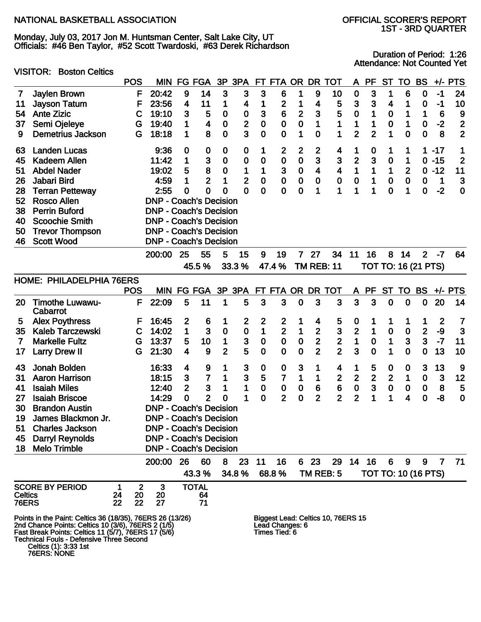Monday, July 03, 2017 Jon M. Huntsman Center, Salt Lake City, UT Officials: #46 Ben Taylor, #52 Scott Twardoski, #63 Derek Richardson 1ST - 3RD QUARTER

VISITOR: Boston Celtics

Duration of Period: 1:26 Attendance: Not Counted Yet

|                |                                                                                                           | <b>POS</b>  | MIN                           | <b>FG</b>               | <b>FGA</b>                         | 3P             | 3PA            | FT.              | FTA OR                           |                | <b>DR</b>               | <b>TOT</b>                         | A              | <b>PF</b>      | <b>ST</b>        | <b>TO</b>                  | <b>BS</b>      | $+/-$                   | <b>PTS</b>              |
|----------------|-----------------------------------------------------------------------------------------------------------|-------------|-------------------------------|-------------------------|------------------------------------|----------------|----------------|------------------|----------------------------------|----------------|-------------------------|------------------------------------|----------------|----------------|------------------|----------------------------|----------------|-------------------------|-------------------------|
| 7              | Jaylen Brown                                                                                              | F           | 20:42                         | 9                       | 14                                 | 3              | 3              | 3                | 6                                | 1              | 9                       | 10                                 | $\bf{0}$       | 3              | 1                | 6                          | 0              | $-1$                    | 24                      |
| 11             | <b>Jayson Tatum</b>                                                                                       | F           | 23:56                         | 4                       | 11                                 | 1              | 4              | 1                | $\mathbf{2}$                     | 1              | 4                       | 5                                  | 3              | 3              | 4                | 1                          | 0              | -1                      | 10                      |
| 54             | <b>Ante Zizic</b>                                                                                         | C           | 19:10                         | 3                       | 5                                  | $\mathbf 0$    | 0              | 3                | 6                                | $\overline{2}$ | 3                       | 5                                  | $\bf{0}$       | 1              | 0                | 1                          | 1              | 6                       | 9                       |
| 37             | Semi Ojeleye                                                                                              | G           | 19:40                         | 1                       | 4                                  | $\bf{0}$       | $\mathbf{2}$   | 0                | 0                                | 0              | 1                       | 1                                  | 1              | 1              | 0                | 1                          | 0              | $-2$                    | $\overline{\mathbf{2}}$ |
| 9              | <b>Demetrius Jackson</b>                                                                                  | G           | 18:18                         | 1                       | 8                                  | $\mathbf 0$    | 3              | 0                | $\bf{0}$                         | 1              | $\bf{0}$                | 1                                  | $\overline{2}$ | $\overline{2}$ | 1                | 0                          | $\mathbf 0$    | 8                       | $\overline{2}$          |
| 63             | <b>Landen Lucas</b>                                                                                       |             | 9:36                          | $\mathbf 0$             | 0                                  | 0              | 0              | 1                | 2                                | $\overline{2}$ | $\mathbf{2}$            | 4                                  | 1              | 0              | 1                | 1                          | 1.             | $-17$                   | 1                       |
| 45             | <b>Kadeem Allen</b>                                                                                       |             | 11:42                         | 1                       | 3                                  | 0              | 0              | 0                | $\bf{0}$                         | 0              | 3                       | 3                                  | $\mathbf{2}$   | 3              | $\bf{0}$         | 1                          |                | $0 - 15$                | $\overline{2}$          |
| 51             | <b>Abdel Nader</b>                                                                                        |             | 19:02                         | 5                       | 8                                  | 0              | 1              | 1                | 3                                | 0              | $\overline{\mathbf{4}}$ | 4                                  | 1              | 1              | 1                | 2                          | 0              | $-12$                   | 11                      |
| 26             | Jabari Bird                                                                                               |             | 4:59                          | 1                       | $\overline{2}$                     | 1              | $\overline{2}$ | 0                | $\mathbf 0$                      | $\bf{0}$       | $\bf{0}$                | $\bf{0}$                           | $\pmb{0}$      | 1              | $\bf{0}$         | $\bf{0}$                   | 0              | 1                       | 3                       |
| 28             | <b>Terran Petteway</b>                                                                                    |             | 2:55                          | 0                       | 0                                  | 0              | $\mathbf 0$    | 0                | $\bf{0}$                         | 0              | 1                       | 1                                  | 1              | 1              | $\mathbf 0$      | 1                          | $\bf{0}$       | $-2$                    | $\mathbf 0$             |
| 52             | <b>Rosco Allen</b>                                                                                        |             | <b>DNP - Coach's Decision</b> |                         |                                    |                |                |                  |                                  |                |                         |                                    |                |                |                  |                            |                |                         |                         |
| 38             | <b>Perrin Buford</b>                                                                                      |             | <b>DNP - Coach's Decision</b> |                         |                                    |                |                |                  |                                  |                |                         |                                    |                |                |                  |                            |                |                         |                         |
| 40             | <b>Scoochie Smith</b>                                                                                     |             | <b>DNP - Coach's Decision</b> |                         |                                    |                |                |                  |                                  |                |                         |                                    |                |                |                  |                            |                |                         |                         |
| 50             | <b>Trevor Thompson</b>                                                                                    |             | <b>DNP - Coach's Decision</b> |                         |                                    |                |                |                  |                                  |                |                         |                                    |                |                |                  |                            |                |                         |                         |
| 46             | <b>Scott Wood</b>                                                                                         |             | <b>DNP - Coach's Decision</b> |                         |                                    |                |                |                  |                                  |                |                         |                                    |                |                |                  |                            |                |                         |                         |
|                |                                                                                                           |             | 200:00                        | 25                      | 55                                 | 5              | 15             | 9                | 19                               | 7 <sup>1</sup> | 27                      | 34                                 | 11             | 16             | 8                | 14                         | $\overline{2}$ | $-7$                    | 64                      |
|                |                                                                                                           |             |                               |                         | 45.5 %                             |                | 33.3 %         |                  | 47.4%                            |                | <b>TM REB: 11</b>       |                                    |                |                |                  | <b>TOT TO: 16 (21 PTS)</b> |                |                         |                         |
|                | HOME: PHILADELPHIA 76ERS                                                                                  |             |                               |                         |                                    |                |                |                  |                                  |                |                         |                                    |                |                |                  |                            |                |                         |                         |
|                |                                                                                                           | <b>POS</b>  |                               |                         | MIN FG FGA 3P 3PA FT FTA OR DR TOT |                |                |                  |                                  |                |                         |                                    | A              | <b>PF</b>      | <b>ST</b>        | <b>TO</b>                  | <b>BS</b>      |                         | $+/-$ PTS               |
| 20             | <b>Timothe Luwawu-</b><br>Cabarrot                                                                        | F           | 22:09                         | 5                       | 11                                 | 1              | 5              | 3                | 3                                | $\mathbf 0$    | 3                       | 3                                  | 3              | 3              | $\mathbf 0$      | $\mathbf 0$                | 0              | 20                      | 14                      |
| 5              | <b>Alex Poythress</b>                                                                                     | F           | 16:45                         | $\overline{2}$          | 6                                  | 1              | $\mathbf{2}$   | $\boldsymbol{2}$ | $\mathbf{2}$                     | 1              | 4                       | 5                                  | 0              | 1              | 1                | 1                          | 1              | $\overline{\mathbf{2}}$ | $\overline{7}$          |
| 35             | <b>Kaleb Tarczewski</b>                                                                                   | $\mathbf C$ | 14:02                         | $\mathbf 1$             | 3                                  | $\mathbf 0$    | $\pmb{0}$      | 1                | $\overline{2}$                   | 1              | $\mathbf{2}$            | 3                                  | $\mathbf{2}$   | 1              | $\mathbf 0$      | $\mathbf 0$                | $\mathbf 2$    | -9                      | 3                       |
| 7              | <b>Markelle Fultz</b>                                                                                     | G           | 13:37                         | 5                       | 10                                 | 1              | 3              | $\mathbf 0$      | $\bf{0}$                         | $\bf{0}$       | $\mathbf{2}$            | $\mathbf 2$                        | $\mathbf 1$    | $\bf{0}$       | 1                | 3                          | 3              | $-7$                    | 11                      |
| 17             | <b>Larry Drew II</b>                                                                                      | G           | 21:30                         | $\overline{\mathbf{4}}$ | 9                                  | $\overline{2}$ | 5              | 0                | $\mathbf 0$                      | $\mathbf 0$    | $\overline{2}$          | $\overline{2}$                     | 3              | $\mathbf 0$    | 1                | $\mathbf 0$                | $\mathbf 0$    | 13                      | 10                      |
| 43             | Jonah Bolden                                                                                              |             | 16:33                         | 4                       | 9                                  | 1              | 3              | 0                | 0                                | 3              | 1                       | 4                                  | 1              | 5              | $\boldsymbol{0}$ | 0                          | 3              | 13                      | 9                       |
| 31             | <b>Aaron Harrison</b>                                                                                     |             | 18:15                         | 3                       | 7                                  | 1              | 3              | 5                | 7                                | 1              | 1                       | $\overline{c}$                     | $\mathbf{2}$   | $\mathbf{2}$   | $\mathbf{2}$     | 1                          | $\bf{0}$       | 3                       | 12                      |
| 41             | <b>Isaiah Miles</b>                                                                                       |             | 12:40                         | $\overline{2}$          | 3                                  | 1              | 1              | $\bf{0}$         | $\mathbf 0$                      | $\bf{0}$       | $6\phantom{1}6$         | 6                                  | ${\bf 0}$      | $\mathbf{3}$   | $\bf{0}$         | $\bf{0}$                   | $\pmb{0}$      | 8                       | 5                       |
| 27             | <b>Isaiah Briscoe</b>                                                                                     |             | 14:29                         | 0                       | $\overline{2}$                     | $\mathbf 0$    | 1              | 0                | $\overline{2}$                   | 0              | $\overline{2}$          | $\overline{2}$                     | $\overline{2}$ | 1              | 1                | 4                          | $\mathbf 0$    | -8                      | $\mathbf 0$             |
| 30             | <b>Brandon Austin</b>                                                                                     |             | <b>DNP - Coach's Decision</b> |                         |                                    |                |                |                  |                                  |                |                         |                                    |                |                |                  |                            |                |                         |                         |
| 19             | James Blackmon Jr.                                                                                        |             | <b>DNP - Coach's Decision</b> |                         |                                    |                |                |                  |                                  |                |                         |                                    |                |                |                  |                            |                |                         |                         |
| 51             | <b>Charles Jackson</b>                                                                                    |             | <b>DNP - Coach's Decision</b> |                         |                                    |                |                |                  |                                  |                |                         |                                    |                |                |                  |                            |                |                         |                         |
| 45             | <b>Darryl Reynolds</b>                                                                                    |             | <b>DNP - Coach's Decision</b> |                         |                                    |                |                |                  |                                  |                |                         |                                    |                |                |                  |                            |                |                         |                         |
| 18             | <b>Melo Trimble</b>                                                                                       |             | <b>DNP - Coach's Decision</b> |                         |                                    |                |                |                  |                                  |                |                         |                                    |                |                |                  |                            |                |                         |                         |
|                |                                                                                                           |             | 200:00                        | 26                      | 60                                 | 8              | 23             | 11               | 16                               |                | 6 23                    | 29                                 |                | 14 16          | 6                | 9                          | 9              | 7                       | 71                      |
|                |                                                                                                           |             |                               |                         | 43.3 %                             |                | 34.8%          |                  | 68.8%                            |                | TM REB: 5               |                                    |                |                |                  | <b>TOT TO: 10 (16 PTS)</b> |                |                         |                         |
|                | <b>SCORE BY PERIOD</b>                                                                                    | 2<br>1      | 3                             |                         | <b>TOTAL</b>                       |                |                |                  |                                  |                |                         |                                    |                |                |                  |                            |                |                         |                         |
| <b>Celtics</b> | 24                                                                                                        | 20          | 20                            |                         | 64                                 |                |                |                  |                                  |                |                         |                                    |                |                |                  |                            |                |                         |                         |
| <b>76ERS</b>   | 22                                                                                                        | 22          | 27                            |                         | 71                                 |                |                |                  |                                  |                |                         |                                    |                |                |                  |                            |                |                         |                         |
|                | Points in the Paint: Celtics 36 (18/35), 76ERS 26 (13/26)                                                 |             |                               |                         |                                    |                |                |                  |                                  |                |                         | Biggest Lead: Celtics 10, 76ERS 15 |                |                |                  |                            |                |                         |                         |
|                | 2nd Chance Points: Celtics 10 (3/6), 76ERS 2 (1/5)<br>Fast Break Points: Celtics 11 (5/7), 76ERS 17 (5/6) |             |                               |                         |                                    |                |                |                  | Lead Changes: 6<br>Times Tied: 6 |                |                         |                                    |                |                |                  |                            |                |                         |                         |
|                | <b>Technical Fouls - Defensive Three Second</b>                                                           |             |                               |                         |                                    |                |                |                  |                                  |                |                         |                                    |                |                |                  |                            |                |                         |                         |
|                | Celtics (1): 3:33 1st<br>76ERS: NONE                                                                      |             |                               |                         |                                    |                |                |                  |                                  |                |                         |                                    |                |                |                  |                            |                |                         |                         |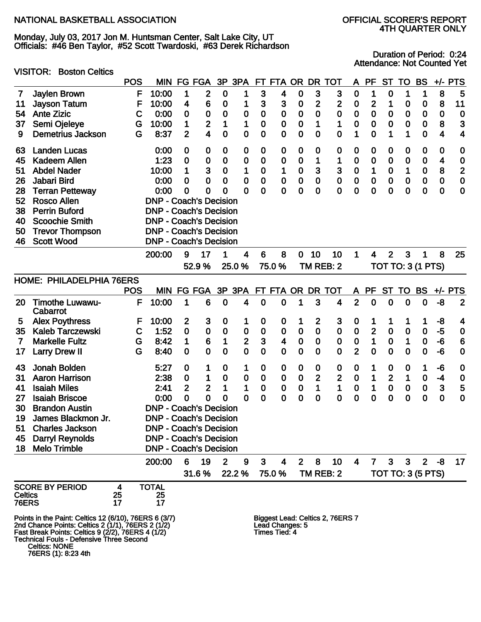Monday, July 03, 2017 Jon M. Huntsman Center, Salt Lake City, UT Officials: #46 Ben Taylor, #52 Scott Twardoski, #63 Derek Richardson

#### VISITOR: Boston Celtics

Duration of Period: 0:24 Attendance: Not Counted Yet

|                |                                                                                                        | <b>POS</b>  | MIN                           | FG               | <b>FGA</b>       |              | 3P 3PA         | FT               | FTA OR                           |                | <b>DR</b>    | TOT                              | A                | <b>PF</b>      | <b>ST</b>    | <b>TO</b>   | <b>BS</b>                | $+/-$       | <b>PTS</b>     |
|----------------|--------------------------------------------------------------------------------------------------------|-------------|-------------------------------|------------------|------------------|--------------|----------------|------------------|----------------------------------|----------------|--------------|----------------------------------|------------------|----------------|--------------|-------------|--------------------------|-------------|----------------|
| 7              | Jaylen Brown                                                                                           | F           | 10:00                         | 1                | $\mathbf{2}$     | 0            | 1              | 3                | 4                                | $\bf{0}$       | 3            | 3                                | 0                | 1              | 0            | 1           | 1                        | 8           | 5              |
| 11             | <b>Jayson Tatum</b>                                                                                    | F           | 10:00                         | 4                | 6                | 0            | 1              | 3                | 3                                | 0              | $\mathbf 2$  | 2                                | 0                | 2              | 1            | 0           | 0                        | 8           | 11             |
| 54             | <b>Ante Zizic</b>                                                                                      | $\mathbf C$ | 0:00                          | $\mathbf 0$      | $\bf{0}$         | 0            | 0              | $\bf{0}$         | $\bf{0}$                         | $\bf{0}$       | $\mathbf 0$  | $\bf{0}$                         | $\bf{0}$         | 0              | 0            | 0           | 0                        | 0           | $\mathbf 0$    |
| 37             | Semi Ojeleye                                                                                           | G           | 10:00                         | 1                | $\mathbf{2}$     | 1            | 1              | 0                | $\bf{0}$                         | $\bf{0}$       | 1            | 1                                | $\bf{0}$         | 0              | 0            | 0           | $\bf{0}$                 | 8           | 3              |
| 9              | <b>Demetrius Jackson</b>                                                                               | G           | 8:37                          | $\overline{2}$   | 4                | $\mathbf 0$  | $\mathbf 0$    | 0                | $\bf{0}$                         | $\bf{0}$       | 0            | $\bf{0}$                         | 1                | 0              | 1            | 1           | 0                        | 4           | 4              |
| 63             | <b>Landen Lucas</b>                                                                                    |             | 0:00                          | $\boldsymbol{0}$ | $\boldsymbol{0}$ | 0            | $\bf{0}$       | $\mathbf 0$      | 0                                | 0              | 0            | 0                                | 0                | 0              | 0            | 0           | 0                        | 0           | $\bf{0}$       |
| 45             | <b>Kadeem Allen</b>                                                                                    |             | 1:23                          | $\bf{0}$         | 0                | 0            | 0              | 0                | 0                                | 0              | 1            | 1                                | 0                | 0              | 0            | 0           | 0                        | 4           | $\bf{0}$       |
| 51             | <b>Abdel Nader</b>                                                                                     |             | 10:00                         | 1                | 3                | 0            | 1              | 0                | 1                                | $\mathbf 0$    | 3            | 3                                | $\bf{0}$         | 1              | $\bf{0}$     | 1           | $\mathbf 0$              | 8           | $\overline{2}$ |
| 26             | Jabari Bird                                                                                            |             | 0:00                          | 0                | $\mathbf 0$      | 0            | 0              | $\bf{0}$         | $\bf{0}$                         | $\bf{0}$       | $\mathbf 0$  | $\mathbf 0$                      | $\bf{0}$         | 0              | 0            | 0           | $\mathbf 0$              | $\bf{0}$    | $\mathbf 0$    |
| 28             | <b>Terran Petteway</b>                                                                                 |             | 0:00                          | 0                | 0                | 0            | 0              | 0                | $\mathbf 0$                      | 0              | $\mathbf 0$  | $\mathbf 0$                      | $\mathbf 0$      | 0              | $\mathbf 0$  | 0           | 0                        | $\mathbf 0$ | $\mathbf 0$    |
| 52             | <b>Rosco Allen</b>                                                                                     |             | <b>DNP - Coach's Decision</b> |                  |                  |              |                |                  |                                  |                |              |                                  |                  |                |              |             |                          |             |                |
| 38             | <b>Perrin Buford</b>                                                                                   |             | <b>DNP - Coach's Decision</b> |                  |                  |              |                |                  |                                  |                |              |                                  |                  |                |              |             |                          |             |                |
| 40             | <b>Scoochie Smith</b>                                                                                  |             | <b>DNP - Coach's Decision</b> |                  |                  |              |                |                  |                                  |                |              |                                  |                  |                |              |             |                          |             |                |
| 50             | <b>Trevor Thompson</b>                                                                                 |             | <b>DNP - Coach's Decision</b> |                  |                  |              |                |                  |                                  |                |              |                                  |                  |                |              |             |                          |             |                |
| 46             | <b>Scott Wood</b>                                                                                      |             | <b>DNP - Coach's Decision</b> |                  |                  |              |                |                  |                                  |                |              |                                  |                  |                |              |             |                          |             |                |
|                |                                                                                                        |             | 200:00                        | 9                | 17               | 1            | 4              | 6                | 8                                | $\mathbf 0$    | 10           | 10                               | 1                | 4              | $\mathbf{2}$ | 3           | 1                        | 8           | 25             |
|                |                                                                                                        |             |                               |                  | 52.9%            |              | 25.0%          |                  | 75.0%                            |                |              | TM REB: 2                        |                  |                |              |             | <b>TOT TO: 3 (1 PTS)</b> |             |                |
|                | HOME: PHILADELPHIA 76ERS                                                                               |             |                               |                  |                  |              |                |                  |                                  |                |              |                                  |                  |                |              |             |                          |             |                |
|                |                                                                                                        | <b>POS</b>  |                               |                  | MIN FG FGA       |              |                |                  | 3P 3PA FT FTA OR DR TOT          |                |              |                                  | A.               | PF             | <b>ST</b>    | TO          | <b>BS</b>                |             | $+/-$ PTS      |
| 20             | <b>Timothe Luwawu-</b><br>Cabarrot                                                                     | F           | 10:00                         | 1                | 6                | 0            | 4              | $\mathbf 0$      | 0                                | 1              | 3            | 4                                | $\overline{2}$   | 0              | 0            | 0           | 0                        | -8          | $\overline{2}$ |
| 5              | <b>Alex Poythress</b>                                                                                  | F           | 10:00                         | 2                | 3                | 0            | 1              | $\boldsymbol{0}$ | 0                                | 1              | 2            | 3                                | $\boldsymbol{0}$ | 1              | 1            | 1           | 1                        | -8          | 4              |
| 35             | <b>Kaleb Tarczewski</b>                                                                                | $\mathbf C$ | 1:52                          | $\mathbf 0$      | $\bf{0}$         | $\mathbf 0$  | $\bf{0}$       | $\bf{0}$         | $\bf{0}$                         | $\mathbf 0$    | $\mathbf 0$  | $\bf{0}$                         | $\bf{0}$         | $\overline{2}$ | 0            | $\mathbf 0$ | $\mathbf 0$              | $-5$        | $\mathbf 0$    |
| 7              | <b>Markelle Fultz</b>                                                                                  | G           | 8:42                          | 1                | $6\phantom{1}6$  | 1            | $\mathbf{2}$   | $\mathbf{3}$     | $\overline{\mathbf{4}}$          | $\pmb{0}$      | $\pmb{0}$    | $\bf{0}$                         | $\bf{0}$         | $\mathbf 1$    | $\pmb{0}$    | 1           | $\bf{0}$                 | -6          | 6              |
| 17             | <b>Larry Drew II</b>                                                                                   | G           | 8:40                          | $\mathbf 0$      | $\mathbf 0$      | 0            | $\overline{0}$ | $\mathbf 0$      | $\mathbf 0$                      | $\mathbf 0$    | $\mathbf 0$  | $\mathbf 0$                      | $\overline{2}$   | 0              | 0            | 0           | $\mathbf 0$              | -6          | $\mathbf 0$    |
|                |                                                                                                        |             |                               |                  |                  |              |                |                  |                                  |                |              |                                  |                  |                |              |             |                          |             |                |
| 43             | Jonah Bolden                                                                                           |             | 5:27                          | 0                | 1                | 0            | 1              | 0                | 0                                | 0              | 0            | 0                                | 0                | 1              | 0            | 0           | 1                        | -6          | $\bf{0}$       |
| 31             | <b>Aaron Harrison</b>                                                                                  |             | 2:38                          | $\mathbf 0$      | 1                | 0            | 0              | $\bf{0}$         | $\bf{0}$                         | $\pmb{0}$      | $\mathbf{2}$ | $\mathbf 2$                      | $\bf{0}$         | 1              | $\mathbf{2}$ | 1           | $\bf{0}$                 | $-4$        | $\bf{0}$       |
| 41             | <b>Isaiah Miles</b>                                                                                    |             | 2:41                          | $\overline{2}$   | $\overline{2}$   | 1            | 1              | $\bf{0}$         | $\mathbf 0$                      | $\mathbf 0$    | 1            | 1                                | $\bf{0}$         | 1              | $\mathbf 0$  | $\pmb{0}$   | $\pmb{0}$                | 3           | 5              |
| 27             | <b>Isaiah Briscoe</b>                                                                                  |             | 0:00                          | 0                | $\mathbf 0$      | 0            | 0              | $\mathbf 0$      | $\bf{0}$                         | 0              | 0            | $\mathbf 0$                      | $\mathbf 0$      | 0              | 0            | $\mathbf 0$ | $\mathbf 0$              | $\mathbf 0$ | $\mathbf 0$    |
| 30             | <b>Brandon Austin</b>                                                                                  |             | <b>DNP - Coach's Decision</b> |                  |                  |              |                |                  |                                  |                |              |                                  |                  |                |              |             |                          |             |                |
| 19             | James Blackmon Jr.                                                                                     |             | <b>DNP - Coach's Decision</b> |                  |                  |              |                |                  |                                  |                |              |                                  |                  |                |              |             |                          |             |                |
| 51             | <b>Charles Jackson</b>                                                                                 |             | <b>DNP - Coach's Decision</b> |                  |                  |              |                |                  |                                  |                |              |                                  |                  |                |              |             |                          |             |                |
| 45             | <b>Darryl Reynolds</b>                                                                                 |             | <b>DNP - Coach's Decision</b> |                  |                  |              |                |                  |                                  |                |              |                                  |                  |                |              |             |                          |             |                |
| 18             | <b>Melo Trimble</b>                                                                                    |             | <b>DNP - Coach's Decision</b> |                  |                  |              |                |                  |                                  |                |              |                                  |                  |                |              |             |                          |             |                |
|                |                                                                                                        |             | 200:00                        | 6                | 19               | $\mathbf{2}$ | 9              | $\mathbf{3}$     | 4                                | 2 <sup>2</sup> | 8            | 10                               | 4                | $\mathbf{7}$   | $\mathbf{3}$ | 3           | 2 <sup>1</sup>           | -8          | 17             |
|                |                                                                                                        |             |                               |                  | 31.6%            |              | 22.2 %         |                  | 75.0%                            |                |              | TM REB: 2                        |                  |                |              |             | <b>TOT TO: 3 (5 PTS)</b> |             |                |
|                | <b>SCORE BY PERIOD</b>                                                                                 | 4           | <b>TOTAL</b>                  |                  |                  |              |                |                  |                                  |                |              |                                  |                  |                |              |             |                          |             |                |
| <b>Celtics</b> |                                                                                                        | 25          | 25                            |                  |                  |              |                |                  |                                  |                |              |                                  |                  |                |              |             |                          |             |                |
| <b>76ERS</b>   |                                                                                                        | 17          | 17                            |                  |                  |              |                |                  |                                  |                |              |                                  |                  |                |              |             |                          |             |                |
|                | Points in the Paint: Celtics 12 (6/10), 76ERS 6 (3/7)                                                  |             |                               |                  |                  |              |                |                  |                                  |                |              | Biggest Lead: Celtics 2, 76ERS 7 |                  |                |              |             |                          |             |                |
|                | 2nd Chance Points: Celtics 2 (1/1), 76ERS 2 (1/2)<br>Fast Break Points: Celtics 9 (2/2), 76ERS 4 (1/2) |             |                               |                  |                  |              |                |                  | Lead Changes: 5<br>Times Tied: 4 |                |              |                                  |                  |                |              |             |                          |             |                |
|                | <b>Technical Fouls - Defensive Three Second</b>                                                        |             |                               |                  |                  |              |                |                  |                                  |                |              |                                  |                  |                |              |             |                          |             |                |

Celtics: NONE

76ERS (1): 8:23 4th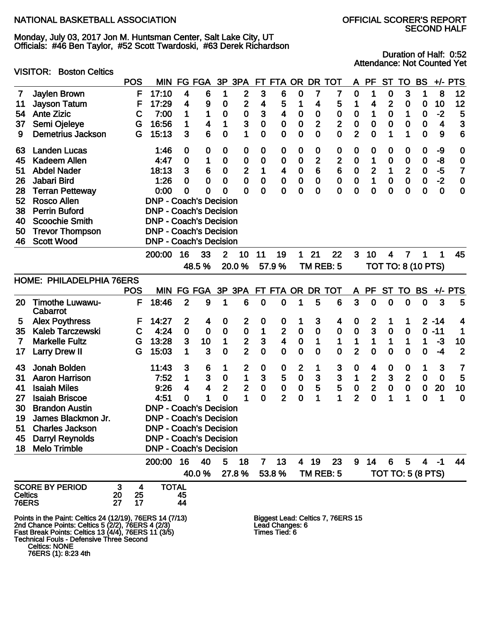Monday, July 03, 2017 Jon M. Huntsman Center, Salt Lake City, UT Officials: #46 Ben Taylor, #52 Scott Twardoski, #63 Derek Richardson

VISITOR: Boston Celtics

Duration of Half: 0:52 Attendance: Not Counted Yet

|                                                                                                                                                                                                                                                                                                                   |                                    | <b>POS</b> | <b>MIN</b>          | FG                            | <b>FGA</b>  | 3P             | 3PA              | <b>FT</b>        | <b>FTA</b>              | <b>OR</b>      | <b>DR</b>        | TOT              | A                | <b>PF</b>    | <b>ST</b>        | TO                        | <b>BS</b>   | $+/-$       | <b>PTS</b>     |
|-------------------------------------------------------------------------------------------------------------------------------------------------------------------------------------------------------------------------------------------------------------------------------------------------------------------|------------------------------------|------------|---------------------|-------------------------------|-------------|----------------|------------------|------------------|-------------------------|----------------|------------------|------------------|------------------|--------------|------------------|---------------------------|-------------|-------------|----------------|
| 7                                                                                                                                                                                                                                                                                                                 | Jaylen Brown                       |            | F<br>17:10          | 4                             | 6           | 1              | 2                | 3                | 6                       | $\bf{0}$       | 7                | 7                | $\bf{0}$         | 1            | $\bf{0}$         | 3                         | 1           | 8           | 12             |
| 11                                                                                                                                                                                                                                                                                                                | <b>Jayson Tatum</b>                |            | F<br>17:29          | 4                             | 9           | $\mathbf 0$    | 2                | 4                | 5                       | 1              | 4                | 5                | 1                | 4            | $\mathbf 2$      | 0                         | $\bf{0}$    | 10          | 12             |
| 54                                                                                                                                                                                                                                                                                                                | <b>Ante Zizic</b>                  |            | 7:00<br>С           | 1                             | 1           | 0              | $\bf{0}$         | 3                | 4                       | 0              | $\bf{0}$         | $\bf{0}$         | $\boldsymbol{0}$ | 1            | $\bf{0}$         | 1                         | $\mathbf 0$ | $-2$        | 5              |
| 37                                                                                                                                                                                                                                                                                                                | Semi Ojeleye                       |            | 16:56<br>G          | 1                             | 4           | 1              | 3                | $\mathbf 0$      | 0                       | 0              | $\overline{2}$   | $\overline{2}$   | $\mathbf 0$      | 0            | $\bf{0}$         | 0                         | $\bf{0}$    | 4           | 3              |
| 9                                                                                                                                                                                                                                                                                                                 | <b>Demetrius Jackson</b>           |            | 15:13<br>G          | 3                             | 6           | 0              | 1                | $\mathbf 0$      | 0                       | $\bf{0}$       | $\mathbf 0$      | $\mathbf 0$      | $\overline{2}$   | 0            | 1                | 1                         | $\mathbf 0$ | 9           | 6              |
| 63                                                                                                                                                                                                                                                                                                                | <b>Landen Lucas</b>                |            | 1:46                | $\mathbf 0$                   | 0           | 0              | $\boldsymbol{0}$ | $\bf{0}$         | 0                       | 0              | $\boldsymbol{0}$ | $\bf{0}$         | 0                | 0            | $\bf{0}$         | 0                         | 0           | -9          | $\bf{0}$       |
| 45                                                                                                                                                                                                                                                                                                                | <b>Kadeem Allen</b>                |            | 4:47                | $\bf{0}$                      | 1           | 0              | 0                | $\mathbf 0$      | 0                       | 0              | $\mathbf{2}$     | $\overline{2}$   | 0                | 1            | $\bf{0}$         | 0                         | $\bf{0}$    | -8          | $\bf{0}$       |
| 51                                                                                                                                                                                                                                                                                                                | <b>Abdel Nader</b>                 |            | 18:13               | 3                             | 6           | 0              | 2                | 1                | 4                       | $\bf{0}$       | $6\phantom{1}6$  | $6\phantom{1}6$  | $\bf{0}$         | $\mathbf{2}$ | 1                | $\overline{2}$            | $\bf{0}$    | $-5$        | $\overline{7}$ |
| 26                                                                                                                                                                                                                                                                                                                | Jabari Bird                        |            | 1:26                | 0                             | 0           | 0              | 0                | $\mathbf 0$      | $\bf{0}$                | $\bf{0}$       | $\bf{0}$         | $\mathbf 0$      | $\bf{0}$         | 1            | $\mathbf 0$      | $\mathbf 0$               | $\mathbf 0$ | $-2$        | $\mathbf 0$    |
| 28                                                                                                                                                                                                                                                                                                                | <b>Terran Petteway</b>             |            | 0:00                | 0                             | 0           | 0              | 0                | $\mathbf 0$      | 0                       | 0              | $\mathbf 0$      | $\mathbf 0$      | 0                | 0            | $\mathbf 0$      | 0                         | $\mathbf 0$ | $\mathbf 0$ | $\mathbf 0$    |
| 52                                                                                                                                                                                                                                                                                                                | <b>Rosco Allen</b>                 |            |                     | <b>DNP - Coach's Decision</b> |             |                |                  |                  |                         |                |                  |                  |                  |              |                  |                           |             |             |                |
| 38                                                                                                                                                                                                                                                                                                                | <b>Perrin Buford</b>               |            |                     | <b>DNP - Coach's Decision</b> |             |                |                  |                  |                         |                |                  |                  |                  |              |                  |                           |             |             |                |
| 40                                                                                                                                                                                                                                                                                                                | <b>Scoochie Smith</b>              |            |                     | <b>DNP - Coach's Decision</b> |             |                |                  |                  |                         |                |                  |                  |                  |              |                  |                           |             |             |                |
| 50                                                                                                                                                                                                                                                                                                                | <b>Trevor Thompson</b>             |            |                     | <b>DNP - Coach's Decision</b> |             |                |                  |                  |                         |                |                  |                  |                  |              |                  |                           |             |             |                |
| 46                                                                                                                                                                                                                                                                                                                | <b>Scott Wood</b>                  |            |                     | <b>DNP - Coach's Decision</b> |             |                |                  |                  |                         |                |                  |                  |                  |              |                  |                           |             |             |                |
|                                                                                                                                                                                                                                                                                                                   |                                    |            | 200:00              | 16                            | 33          | $\overline{2}$ | 10               | 11               | 19                      | 1              | 21               | 22               | 3                | 10           | 4                | 7                         | 1           | 1           | 45             |
|                                                                                                                                                                                                                                                                                                                   |                                    |            |                     |                               | 48.5%       |                | 20.0%            |                  | 57.9%                   |                |                  | TM REB: 5        |                  |              |                  | <b>TOT TO: 8 (10 PTS)</b> |             |             |                |
|                                                                                                                                                                                                                                                                                                                   | HOME: PHILADELPHIA 76ERS           |            |                     |                               |             |                |                  |                  |                         |                |                  |                  |                  |              |                  |                           |             |             |                |
|                                                                                                                                                                                                                                                                                                                   |                                    | <b>POS</b> |                     | MIN FG FGA                    |             |                | 3P 3PA           |                  |                         |                |                  | FT FTA OR DR TOT | A                | PF           | <b>ST</b>        | TO                        | <b>BS</b>   |             | $+/-$ PTS      |
| 20                                                                                                                                                                                                                                                                                                                | <b>Timothe Luwawu-</b><br>Cabarrot |            | F<br>18:46          | $\overline{2}$                | 9           | 1              | 6                | $\mathbf 0$      | 0                       | 1              | 5                | $6\phantom{1}6$  | 3                | $\mathbf 0$  | $\mathbf 0$      | 0                         | $\mathbf 0$ | 3           | 5              |
| 5                                                                                                                                                                                                                                                                                                                 | <b>Alex Poythress</b>              |            | 14:27<br>F          | 2                             | 4           | 0              | 2                | $\boldsymbol{0}$ | 0                       | 1              | 3                | 4                | 0                | 2            | 1                | 1                         |             | $2 - 14$    | 4              |
| 35                                                                                                                                                                                                                                                                                                                | <b>Kaleb Tarczewski</b>            |            | 4:24<br>$\mathbf C$ | $\mathbf 0$                   | $\mathbf 0$ | $\mathbf 0$    | $\mathbf 0$      | 1                | $\mathbf{2}$            | $\pmb{0}$      | $\bf{0}$         | $\bf{0}$         | $\bf{0}$         | 3            | $\bf{0}$         | 0                         | $\mathbf 0$ | $-11$       | 1              |
| 7                                                                                                                                                                                                                                                                                                                 | <b>Markelle Fultz</b>              |            | 13:28<br>G          | 3                             | 10          | 1              | $\frac{2}{2}$    | $\mathbf{3}$     | $\overline{\mathbf{4}}$ | $\pmb{0}$      | 1                | 1                | 1                | 1            | 1                | 1                         | 1           | $-3$        | 10             |
| 17                                                                                                                                                                                                                                                                                                                | <b>Larry Drew II</b>               |            | 15:03<br>G          | 1                             | 3           | 0              |                  | $\overline{0}$   | $\mathbf 0$             | $\mathbf 0$    | $\mathbf 0$      | $\mathbf 0$      | $\overline{2}$   | $\mathbf 0$  | $\mathbf 0$      | 0                         | 0           | $-4$        | $\overline{2}$ |
| 43                                                                                                                                                                                                                                                                                                                | Jonah Bolden                       |            | 11:43               | 3                             | 6           | 1              | 2                | $\bf{0}$         | 0                       | $\mathbf{2}$   | 1                | 3                | 0                | 4            | $\boldsymbol{0}$ | 0                         | 1           | 3           | 7              |
| 31                                                                                                                                                                                                                                                                                                                | <b>Aaron Harrison</b>              |            | 7:52                | 1                             | 3           | $\mathbf 0$    | 1                | 3                | $\overline{\mathbf{5}}$ | $\mathbf 0$    | $\mathbf{3}$     | 3                | 1                | $\mathbf{2}$ | $\mathbf{3}$     | $\mathbf{2}$              | $\bf{0}$    | $\bf{0}$    | 5              |
| 41                                                                                                                                                                                                                                                                                                                | <b>Isaiah Miles</b>                |            | 9:26                | 4                             | 4           | $\mathbf{2}$   | 2                | $\bf{0}$         | $\bf{0}$                | $\bf{0}$       | 5                | 5                | $\mathbf 0$      | $\mathbf{2}$ | $\pmb{0}$        | $\mathbf 0$               | $\bf{0}$    | 20          | 10             |
| 27                                                                                                                                                                                                                                                                                                                | <b>Isaiah Briscoe</b>              |            | 4:51                | 0                             | 1           | $\mathbf 0$    | 1                | 0                | $\overline{2}$          | $\mathbf 0$    | 1                | 1                | $\overline{2}$   | $\mathbf 0$  | 1                | 1                         | 0           | 1           | 0              |
| 30                                                                                                                                                                                                                                                                                                                | <b>Brandon Austin</b>              |            |                     | <b>DNP - Coach's Decision</b> |             |                |                  |                  |                         |                |                  |                  |                  |              |                  |                           |             |             |                |
| 19                                                                                                                                                                                                                                                                                                                | James Blackmon Jr.                 |            |                     | <b>DNP - Coach's Decision</b> |             |                |                  |                  |                         |                |                  |                  |                  |              |                  |                           |             |             |                |
| 51                                                                                                                                                                                                                                                                                                                | <b>Charles Jackson</b>             |            |                     | <b>DNP - Coach's Decision</b> |             |                |                  |                  |                         |                |                  |                  |                  |              |                  |                           |             |             |                |
| 45                                                                                                                                                                                                                                                                                                                | <b>Darryl Reynolds</b>             |            |                     | <b>DNP - Coach's Decision</b> |             |                |                  |                  |                         |                |                  |                  |                  |              |                  |                           |             |             |                |
| 18                                                                                                                                                                                                                                                                                                                | <b>Melo Trimble</b>                |            |                     | <b>DNP - Coach's Decision</b> |             |                |                  |                  |                         |                |                  |                  |                  |              |                  |                           |             |             |                |
|                                                                                                                                                                                                                                                                                                                   |                                    |            | 200:00              | 16                            | 40          | 5              | 18               | $\mathbf{7}$     | 13                      | $\overline{4}$ | 19               | 23               | 9                | 14           | 6                | 5                         |             | $4 - 1$     | 44             |
|                                                                                                                                                                                                                                                                                                                   |                                    |            |                     |                               | 40.0 %      |                | 27.8%            |                  | 53.8%                   |                |                  | TM REB: 5        |                  |              |                  | <b>TOT TO: 5 (8 PTS)</b>  |             |             |                |
|                                                                                                                                                                                                                                                                                                                   | <b>SCORE BY PERIOD</b>             | 3          | 4                   | <b>TOTAL</b>                  |             |                |                  |                  |                         |                |                  |                  |                  |              |                  |                           |             |             |                |
| <b>Celtics</b>                                                                                                                                                                                                                                                                                                    |                                    | 20         | 25                  | 45                            |             |                |                  |                  |                         |                |                  |                  |                  |              |                  |                           |             |             |                |
| <b>76ERS</b>                                                                                                                                                                                                                                                                                                      |                                    | 27         | 17                  | 44                            |             |                |                  |                  |                         |                |                  |                  |                  |              |                  |                           |             |             |                |
| Points in the Paint: Celtics 24 (12/19), 76ERS 14 (7/13)<br>Biggest Lead: Celtics 7, 76ERS 15<br>2nd Chance Points: Celtics 5 (2/2), 76ERS 4 (2/3)<br>Fast Break Points: Celtics 13 (4/4), 76ERS 11 (3/5)<br>Lead Changes: 6<br>Times Tied: 6<br>Technical Fouls - Defensive Three Second<br><b>Celtics: NONE</b> |                                    |            |                     |                               |             |                |                  |                  |                         |                |                  |                  |                  |              |                  |                           |             |             |                |

76ERS (1): 8:23 4th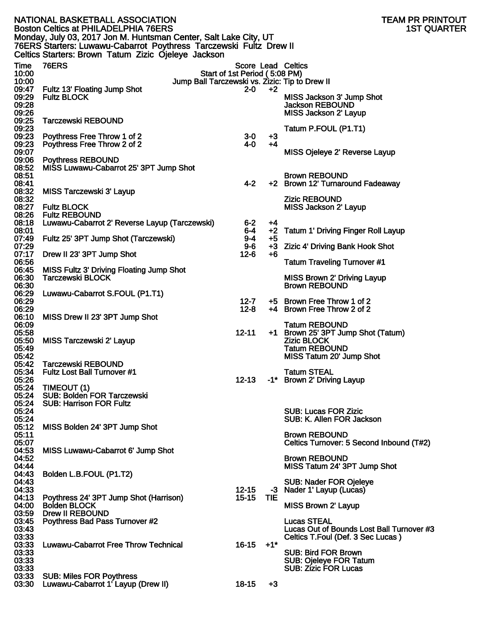|                | NATIONAL BASKETBALL ASSOCIATION<br><b>Boston Celtics at PHILADELPHIA 76ERS</b> |                               |                   | TEAM PR PRINTOUT<br><b>1ST QUARTER</b>                     |
|----------------|--------------------------------------------------------------------------------|-------------------------------|-------------------|------------------------------------------------------------|
|                | Monday, July 03, 2017 Jon M. Huntsman Center, Salt Lake City, UT               |                               |                   |                                                            |
|                | 76ERS Starters: Luwawu-Cabarrot Poythress Tarczewski Fultz Drew II             |                               |                   |                                                            |
|                | Celtics Starters: Brown Tatum Zizic Ojeleye Jackson                            |                               |                   |                                                            |
| Time           | <b>76ERS</b>                                                                   |                               |                   | <b>Score Lead Celtics</b>                                  |
| 10:00          |                                                                                | Start of 1st Period (5:08 PM) |                   |                                                            |
| 10:00<br>09:47 | Jump Ball Tarczewski vs. Zizic: Tip to Drew II<br>Fultz 13' Floating Jump Shot | 2-0                           | $+2$              |                                                            |
| 09:29          | <b>Fultz BLOCK</b>                                                             |                               |                   | MISS Jackson 3' Jump Shot                                  |
| 09:28<br>09:26 |                                                                                |                               |                   | <b>Jackson REBOUND</b><br>MISS Jackson 2' Layup            |
| 09:25          | <b>Tarczewski REBOUND</b>                                                      |                               |                   |                                                            |
| 09:23          |                                                                                |                               |                   | Tatum P.FOUL (P1.T1)                                       |
| 09:23          | Poythress Free Throw 1 of 2                                                    | $3-0$<br>4-0                  | $+3$<br>$+4$      |                                                            |
| 09:23<br>09:07 | Poythress Free Throw 2 of 2                                                    |                               |                   | MISS Ojeleye 2' Reverse Layup                              |
| 09:06          | <b>Poythress REBOUND</b>                                                       |                               |                   |                                                            |
| 08:52          | MISS Luwawu-Cabarrot 25' 3PT Jump Shot                                         |                               |                   |                                                            |
| 08:51<br>08:41 |                                                                                | 4-2                           |                   | <b>Brown REBOUND</b><br>+2 Brown 12' Turnaround Fadeaway   |
| 08:32          | <b>MISS Tarczewski 3' Layup</b>                                                |                               |                   |                                                            |
| 08:32          |                                                                                |                               |                   | <b>Zizic REBOUND</b>                                       |
| 08:27<br>08:26 | <b>Fultz BLOCK</b><br><b>Fultz REBOUND</b>                                     |                               |                   | MISS Jackson 2' Layup                                      |
| 08:18          | Luwawu-Cabarrot 2' Reverse Layup (Tarczewski)                                  | $6-2$                         | +4                |                                                            |
| 08:01          |                                                                                | 6-4                           |                   | +2 Tatum 1' Driving Finger Roll Layup                      |
| 07:49<br>07:29 | Fultz 25' 3PT Jump Shot (Tarczewski)                                           | $9 - 4$<br>$9-6$              | +5                | +3 Zizic 4' Driving Bank Hook Shot                         |
| 07:17          | Drew II 23' 3PT Jump Shot                                                      | $12-6$                        | +6                |                                                            |
| 06:56          |                                                                                |                               |                   | <b>Tatum Traveling Turnover #1</b>                         |
| 06:45<br>06:30 | MISS Fultz 3' Driving Floating Jump Shot<br>Tarczewski BLOCK                   |                               |                   | MISS Brown 2' Driving Layup                                |
| 06:30          |                                                                                |                               |                   | <b>Brown REBOUND</b>                                       |
| 06:29<br>06:29 | Luwawu-Cabarrot S.FOUL (P1.T1)                                                 | $12 - 7$                      |                   | +5 Brown Free Throw 1 of 2                                 |
| 06:29          |                                                                                | $12 - 8$                      |                   | +4 Brown Free Throw 2 of 2                                 |
| 06:10          | MISS Drew II 23' 3PT Jump Shot                                                 |                               |                   |                                                            |
| 06:09<br>05:58 |                                                                                | $12 - 11$                     |                   | <b>Tatum REBOUND</b><br>+1 Brown 25' 3PT Jump Shot (Tatum) |
| 05:50          | MISS Tarczewski 2' Layup                                                       |                               |                   | <b>Zizic BLOCK</b>                                         |
| 05:49          |                                                                                |                               |                   | <b>Tatum REBOUND</b>                                       |
| 05:42<br>05:42 | Tarczewski REBOUND                                                             |                               |                   | MISS Tatum 20' Jump Shot                                   |
| 05:34          | <b>Fultz Lost Ball Turnover #1</b>                                             |                               |                   | <b>Tatum STEAL</b>                                         |
| 05:26          |                                                                                | $12 - 13$                     |                   | -1* Brown 2' Driving Layup                                 |
| 05:24<br>05:24 | TIMEOUT (1)<br><b>SUB: Bolden FOR Tarczewski</b>                               |                               |                   |                                                            |
| 05:24          | <b>SUB: Harrison FOR Fultz</b>                                                 |                               |                   |                                                            |
| 05:24          |                                                                                |                               |                   | <b>SUB: Lucas FOR Zizic</b>                                |
| 05:24<br>05:12 | MISS Bolden 24' 3PT Jump Shot                                                  |                               |                   | SUB: K. Allen FOR Jackson                                  |
| 05:11          |                                                                                |                               |                   | <b>Brown REBOUND</b>                                       |
| 05:07          |                                                                                |                               |                   | Celtics Turnover: 5 Second Inbound (T#2)                   |
| 04:53<br>04:52 | MISS Luwawu-Cabarrot 6' Jump Shot                                              |                               |                   | <b>Brown REBOUND</b>                                       |
| 04:44          |                                                                                |                               |                   | MISS Tatum 24' 3PT Jump Shot                               |
| 04:43<br>04:43 | Bolden L.B.FOUL (P1.T2)                                                        |                               |                   |                                                            |
| 04:33          |                                                                                | $12 - 15$                     | -3                | <b>SUB: Nader FOR Ojeleye</b><br>Nader 1' Layup (Lucas)    |
| 04:13          | Poythress 24' 3PT Jump Shot (Harrison)                                         | $15 - 15$                     | <b>TIE</b>        |                                                            |
| 04:00<br>03:59 | <b>Bolden BLOCK</b><br><b>Drew II REBOUND</b>                                  |                               |                   | <b>MISS Brown 2' Layup</b>                                 |
| 03:45          | Poythress Bad Pass Turnover #2                                                 |                               |                   | <b>Lucas STEAL</b>                                         |
| 03:43          |                                                                                |                               |                   | Lucas Out of Bounds Lost Ball Turnover #3                  |
| 03:33<br>03:33 | <b>Luwawu-Cabarrot Free Throw Technical</b>                                    | 16-15                         | $+1$ <sup>*</sup> | Celtics T.Foul (Def. 3 Sec Lucas)                          |
| 03:33          |                                                                                |                               |                   | <b>SUB: Bird FOR Brown</b>                                 |
| 03:33          |                                                                                |                               |                   | <b>SUB: Ojeleye FOR Tatum</b>                              |
| 03:33<br>03:33 | <b>SUB: Miles FOR Poythress</b>                                                |                               |                   | <b>SUB: Zizic FOR Lucas</b>                                |
| 03:30          | Luwawu-Cabarrot 1'Layup (Drew II)                                              | $18 - 15$                     | $+3$              |                                                            |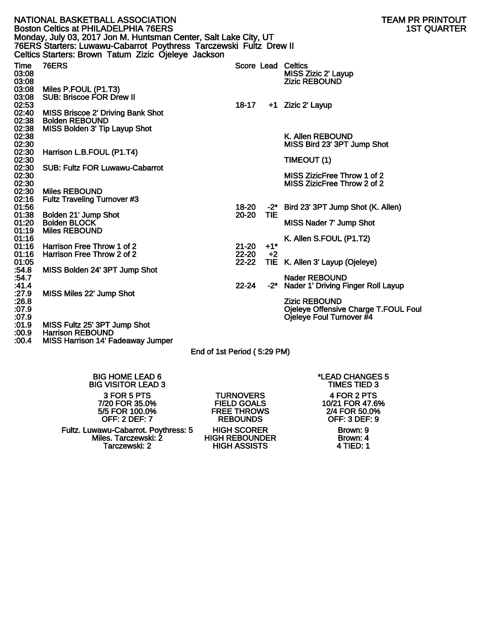|                                 | NATIONAL BASKETBALL ASSOCIATION<br><b>Boston Celtics at PHILADELPHIA 76ERS</b>                                                                                                                |                        |        | TEAM PR PRINTOUT<br><b>1ST QUARTER</b>                                                   |
|---------------------------------|-----------------------------------------------------------------------------------------------------------------------------------------------------------------------------------------------|------------------------|--------|------------------------------------------------------------------------------------------|
|                                 | Monday, July 03, 2017 Jon M. Huntsman Center, Salt Lake City, UT<br>76ERS Starters: Luwawu-Cabarrot Poythress Tarczewski Fultz Drew II<br>Celtics Starters: Brown Tatum Zizic Ojeleye Jackson |                        |        |                                                                                          |
| Time<br>03:08<br>03:08<br>03:08 | <b>76ERS</b><br>Miles P.FOUL (P1.T3)                                                                                                                                                          |                        |        | Score Lead Celtics<br>MISS Zizic 2' Layup<br><b>Zizic REBOUND</b>                        |
| 03:08<br>02:53                  | <b>SUB: Briscoe FOR Drew II</b>                                                                                                                                                               | 18-17                  |        | +1 Zizic 2' Layup                                                                        |
| 02:40<br>02:38<br>02:38         | <b>MISS Briscoe 2' Driving Bank Shot</b><br><b>Bolden REBOUND</b><br>MISS Bolden 3' Tip Layup Shot                                                                                            |                        |        |                                                                                          |
| 02:38<br>02:30                  |                                                                                                                                                                                               |                        |        | K. Allen REBOUND<br>MISS Bird 23' 3PT Jump Shot                                          |
| 02:30<br>02:30                  | Harrison L.B.FOUL (P1.T4)                                                                                                                                                                     |                        |        | TIMEOUT (1)                                                                              |
| 02:30<br>02:30<br>02:30         | <b>SUB: Fultz FOR Luwawu-Cabarrot</b>                                                                                                                                                         |                        |        | MISS ZizicFree Throw 1 of 2<br>MISS ZizicFree Throw 2 of 2                               |
| 02:30<br>02:16                  | <b>Miles REBOUND</b><br><b>Fultz Traveling Turnover #3</b>                                                                                                                                    |                        |        |                                                                                          |
| 01:56<br>01:38                  | Bolden 21' Jump Shot                                                                                                                                                                          | 18-20<br>20-20         | TIE.   | -2* Bird 23' 3PT Jump Shot (K. Allen)                                                    |
| 01:20<br>01:19                  | <b>Bolden BLOCK</b><br><b>Miles REBOUND</b>                                                                                                                                                   |                        |        | MISS Nader 7' Jump Shot                                                                  |
| 01:16<br>01:16                  | Harrison Free Throw 1 of 2                                                                                                                                                                    | $21 - 20$              | $+1$ * | K. Allen S.FOUL (P1.T2)                                                                  |
| 01:16<br>01:05                  | Harrison Free Throw 2 of 2                                                                                                                                                                    | $22 - 20$<br>$22 - 22$ | $+2$   | TIE K. Allen 3' Layup (Ojeleye)                                                          |
| :54.8<br>:54.7                  | MISS Bolden 24' 3PT Jump Shot                                                                                                                                                                 |                        |        | <b>Nader REBOUND</b>                                                                     |
| :41.4<br>:27.9                  | MISS Miles 22' Jump Shot                                                                                                                                                                      | $22 - 24$              | $-2^*$ | Nader 1' Driving Finger Roll Layup                                                       |
| :26.8<br>:07.9<br>:07.9         |                                                                                                                                                                                               |                        |        | <b>Zizic REBOUND</b><br>Ojeleye Offensive Charge T.FOUL Foul<br>Ojeleye Foul Turnover #4 |
| :01.9                           | MISS Fultz 25' 3PT Jump Shot                                                                                                                                                                  |                        |        |                                                                                          |

:00.9 Harrison REBOUND

:00.4 MISS Harrison 14' Fadeaway Jumper

End of 1st Period ( 5:29 PM)

BIG HOME LEAD 6 \*LEAD CHANGES 5 **BIG VISITOR LEAD 3** 3 FOR 5 PTS TURNOVERS 4 FOR 2 PTS 7/20 FOR 35.0% FIELD GOALS 10/21 FOR 47.6% OFF: 2 DEF: 7 REBOUNDS OFF: 3 DEF: 9

Fultz. Luwawu-Cabarrot. Poythress: 5 HIGH SCORER Brown: 9 Miles. Tarczewski: 2 HIGH REBOUNDER Brown: 4 Tarczewski: 2 HIGH ASSISTS 4 TIED: 1

FREE THROWS 2/4 FOR 50.0%<br>REBOUNDS OFF: 3 DEF: 9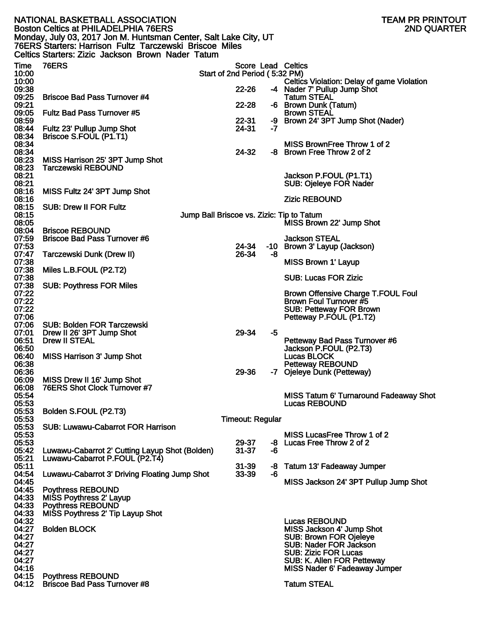|                | NATIONAL BASKETBALL ASSOCIATION                                                                                 |                                           |          | TEAM PR PRINTOUT                                                           |
|----------------|-----------------------------------------------------------------------------------------------------------------|-------------------------------------------|----------|----------------------------------------------------------------------------|
|                | <b>Boston Celtics at PHILADELPHIA 76ERS</b><br>Monday, July 03, 2017 Jon M. Huntsman Center, Salt Lake City, UT |                                           |          | <b>2ND QUARTER</b>                                                         |
|                | 76ERS Starters: Harrison Fultz Tarczewski Briscoe Miles                                                         |                                           |          |                                                                            |
|                | Celtics Starters: Zizic Jackson Brown Nader Tatum                                                               |                                           |          |                                                                            |
| Time           | <b>76ERS</b>                                                                                                    |                                           |          | Score Lead Celtics                                                         |
| 10:00          |                                                                                                                 | Start of 2nd Period (5:32 PM)             |          |                                                                            |
| 10:00<br>09:38 |                                                                                                                 | 22-26                                     |          | Celtics Violation: Delay of game Violation<br>-4 Nader 7' Pullup Jump Shot |
| 09:25          | <b>Briscoe Bad Pass Turnover #4</b>                                                                             |                                           |          | <b>Tatum STEAL</b>                                                         |
| 09:21          |                                                                                                                 | 22-28                                     |          | -6 Brown Dunk (Tatum)                                                      |
| 09:05<br>08:59 | <b>Fultz Bad Pass Turnover #5</b>                                                                               | $22 - 31$                                 | -9       | <b>Brown STEAL</b><br>Brown 24' 3PT Jump Shot (Nader)                      |
| 08:44          | Fultz 23' Pullup Jump Shot                                                                                      | 24-31                                     | -7       |                                                                            |
| 08:34          | Briscoe S.FOUL (P1.T1)                                                                                          |                                           |          |                                                                            |
| 08:34<br>08:34 |                                                                                                                 | 24-32                                     |          | MISS BrownFree Throw 1 of 2<br>-8 Brown Free Throw 2 of 2                  |
| 08:23          | MISS Harrison 25' 3PT Jump Shot                                                                                 |                                           |          |                                                                            |
| 08:23          | <b>Tarczewski REBOUND</b>                                                                                       |                                           |          |                                                                            |
| 08:21          |                                                                                                                 |                                           |          | Jackson P.FOUL (P1.T1)                                                     |
| 08:21<br>08:16 | MISS Fultz 24' 3PT Jump Shot                                                                                    |                                           |          | <b>SUB: Ojeleye FOR Nader</b>                                              |
| 08:16          |                                                                                                                 |                                           |          | <b>Zizic REBOUND</b>                                                       |
| 08:15          | <b>SUB: Drew II FOR Fultz</b>                                                                                   |                                           |          |                                                                            |
| 08:15<br>08:05 |                                                                                                                 | Jump Ball Briscoe vs. Zizic: Tip to Tatum |          | MISS Brown 22' Jump Shot                                                   |
| 08:04          | <b>Briscoe REBOUND</b>                                                                                          |                                           |          |                                                                            |
| 07:59          | <b>Briscoe Bad Pass Turnover #6</b>                                                                             |                                           |          | <b>Jackson STEAL</b>                                                       |
| 07:53<br>07:47 | Tarczewski Dunk (Drew II)                                                                                       | 24-34<br>26-34                            | -8       | -10 Brown 3' Layup (Jackson)                                               |
| 07:38          |                                                                                                                 |                                           |          | <b>MISS Brown 1' Layup</b>                                                 |
| 07:38          | Miles L.B.FOUL (P2.T2)                                                                                          |                                           |          |                                                                            |
| 07:38<br>07:38 | <b>SUB: Poythress FOR Miles</b>                                                                                 |                                           |          | <b>SUB: Lucas FOR Zizic</b>                                                |
| 07:22          |                                                                                                                 |                                           |          | <b>Brown Offensive Charge T.FOUL Foul</b>                                  |
| 07:22          |                                                                                                                 |                                           |          | Brown Foul Turnover #5                                                     |
| 07:22          |                                                                                                                 |                                           |          | <b>SUB: Petteway FOR Brown</b>                                             |
| 07:06<br>07:06 | <b>SUB: Bolden FOR Tarczewski</b>                                                                               |                                           |          | Petteway P.FOUL (P1.T2)                                                    |
| 07:01          | Drew II 26' 3PT Jump Shot                                                                                       | 29-34                                     | -5       |                                                                            |
| 06:51          | <b>Drew II STEAL</b>                                                                                            |                                           |          | Petteway Bad Pass Turnover #6                                              |
| 06:50<br>06:40 | <b>MISS Harrison 3' Jump Shot</b>                                                                               |                                           |          | Jackson P.FOUL (P2.T3)<br>Lucas BLOCK                                      |
| 06:38          |                                                                                                                 |                                           |          | <b>Petteway REBOUND</b>                                                    |
| 06:36          |                                                                                                                 | 29-36                                     |          | -7 Ojeleye Dunk (Petteway)                                                 |
| 06:09<br>06:08 | MISS Drew II 16' Jump Shot<br>76ERS Shot Clock Turnover #7                                                      |                                           |          |                                                                            |
| 05:54          |                                                                                                                 |                                           |          | MISS Tatum 6' Turnaround Fadeaway Shot                                     |
| 05:53          |                                                                                                                 |                                           |          | <b>Lucas REBOUND</b>                                                       |
| 05:53<br>05:53 | Bolden S.FOUL (P2.T3)                                                                                           | <b>Timeout: Regular</b>                   |          |                                                                            |
| 05:53          | <b>SUB: Luwawu-Cabarrot FOR Harrison</b>                                                                        |                                           |          |                                                                            |
| 05:53          |                                                                                                                 |                                           |          | MISS LucasFree Throw 1 of 2                                                |
| 05:53<br>05:42 | Luwawu-Cabarrot 2' Cutting Layup Shot (Bolden)                                                                  | 29-37<br>$31 - 37$                        | -8<br>-6 | Lucas Free Throw 2 of 2                                                    |
| 05:21          | Luwawu-Cabarrot P.FOUL (P2.T4)                                                                                  |                                           |          |                                                                            |
| 05:11          |                                                                                                                 | $31 - 39$                                 | -8       | Tatum 13' Fadeaway Jumper                                                  |
| 04:54<br>04:45 | Luwawu-Cabarrot 3' Driving Floating Jump Shot                                                                   | 33-39                                     | -6       | MISS Jackson 24' 3PT Pullup Jump Shot                                      |
| 04:45          | <b>Poythress REBOUND</b>                                                                                        |                                           |          |                                                                            |
| 04:33          | MISS Poythress 2' Layup                                                                                         |                                           |          |                                                                            |
| 04:33<br>04:33 | <b>Poythress REBOUND</b><br>MISS Poythress 2' Tip Layup Shot                                                    |                                           |          |                                                                            |
| 04:32          |                                                                                                                 |                                           |          | <b>Lucas REBOUND</b>                                                       |
| 04:27          | <b>Bolden BLOCK</b>                                                                                             |                                           |          | MISS Jackson 4' Jump Shot                                                  |
| 04:27          |                                                                                                                 |                                           |          | <b>SUB: Brown FOR Ojeleye</b>                                              |
| 04:27<br>04:27 |                                                                                                                 |                                           |          | <b>SUB: Nader FOR Jackson</b><br><b>SUB: Zizic FOR Lucas</b>               |
| 04:27          |                                                                                                                 |                                           |          | SUB: K. Allen FOR Petteway                                                 |
| 04:16          |                                                                                                                 |                                           |          | <b>MISS Nader 6' Fadeaway Jumper</b>                                       |
| 04:15<br>04:12 | <b>Poythress REBOUND</b><br><b>Briscoe Bad Pass Turnover #8</b>                                                 |                                           |          | <b>Tatum STEAL</b>                                                         |
|                |                                                                                                                 |                                           |          |                                                                            |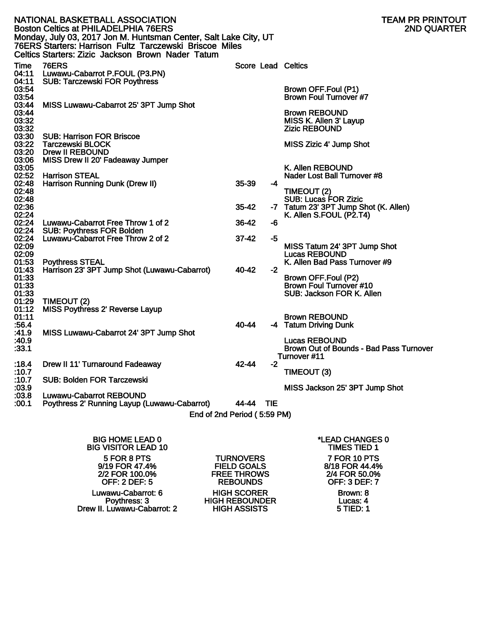|                                  | NATIONAL BASKETBALL ASSOCIATION<br><b>Boston Celtics at PHILADELPHIA 76ERS</b><br>Monday, July 03, 2017 Jon M. Huntsman Center, Salt Lake City, UT<br>76ERS Starters: Harrison Fultz Tarczewski Briscoe Miles<br>Celtics Starters: Zizic Jackson Brown Nader Tatum |           |      | TEAM PR PRINTOUT<br><b>2ND QUARTER</b>                                                          |
|----------------------------------|--------------------------------------------------------------------------------------------------------------------------------------------------------------------------------------------------------------------------------------------------------------------|-----------|------|-------------------------------------------------------------------------------------------------|
| Time<br>04:11<br>04:11           | <b>76ERS</b><br>Luwawu-Cabarrot P.FOUL (P3.PN)<br><b>SUB: Tarczewski FOR Poythress</b>                                                                                                                                                                             |           |      | <b>Score Lead Celtics</b>                                                                       |
| 03:54<br>03:54                   |                                                                                                                                                                                                                                                                    |           |      | Brown OFF.Foul (P1)<br><b>Brown Foul Turnover #7</b>                                            |
| 03:44<br>03:44<br>03:32<br>03:32 | MISS Luwawu-Cabarrot 25' 3PT Jump Shot                                                                                                                                                                                                                             |           |      | <b>Brown REBOUND</b><br>MISS K. Allen 3' Layup<br><b>Zizic REBOUND</b>                          |
| <b>03:30</b><br>03:22<br>03:20   | <b>SUB: Harrison FOR Briscoe</b><br><b>Tarczewski BLOCK</b><br><b>Drew II REBOUND</b>                                                                                                                                                                              |           |      | MISS Zizic 4' Jump Shot                                                                         |
| 03:06<br>03:05<br>02:52          | MISS Drew II 20' Fadeaway Jumper<br><b>Harrison STEAL</b>                                                                                                                                                                                                          |           |      | K. Allen REBOUND<br>Nader Lost Ball Turnover #8                                                 |
| 02:48<br>02:48                   | Harrison Running Dunk (Drew II)                                                                                                                                                                                                                                    | $35 - 39$ | -4   | TIMEOUT (2)                                                                                     |
| 02:48<br>02:36<br>02:24          |                                                                                                                                                                                                                                                                    | $35 - 42$ |      | <b>SUB: Lucas FOR Zizic</b><br>-7 Tatum 23' 3PT Jump Shot (K. Allen)<br>K. Allen S.FOUL (P2.T4) |
| 02:24<br>02:24                   | Luwawu-Cabarrot Free Throw 1 of 2<br><b>SUB: Poythress FOR Bolden</b>                                                                                                                                                                                              | 36-42     | -6   |                                                                                                 |
| 02:24<br>02:09                   | Luwawu-Cabarrot Free Throw 2 of 2                                                                                                                                                                                                                                  | $37 - 42$ | -5   | MISS Tatum 24' 3PT Jump Shot                                                                    |
| 02:09<br>01:53<br>01:43          | <b>Poythress STEAL</b><br>Harrison 23' 3PT Jump Shot (Luwawu-Cabarrot)                                                                                                                                                                                             | 40-42     | $-2$ | <b>Lucas REBOUND</b><br>K. Allen Bad Pass Turnover #9                                           |
| 01:33<br>01:33<br>01:33          |                                                                                                                                                                                                                                                                    |           |      | Brown OFF.Foul (P2)<br><b>Brown Foul Turnover #10</b><br>SUB: Jackson FOR K. Allen              |
| 01:29<br>01:12                   | TIMEOUT (2)<br><b>MISS Poythress 2' Reverse Layup</b>                                                                                                                                                                                                              |           |      |                                                                                                 |
| 01:11<br>:56.4<br>:41.9          | MISS Luwawu-Cabarrot 24' 3PT Jump Shot                                                                                                                                                                                                                             | 40-44     |      | <b>Brown REBOUND</b><br>-4 Tatum Driving Dunk                                                   |
| :40.9<br>:33.1                   |                                                                                                                                                                                                                                                                    |           |      | <b>Lucas REBOUND</b><br>Brown Out of Bounds - Bad Pass Turnover<br>Turnover #11                 |
| :10.7                            | :18.4 Drew II 11' Turnaround Fadeaway                                                                                                                                                                                                                              | 42-44     | $-2$ | TIMEOUT (3)                                                                                     |
| :10.7<br>:03.9                   | <b>SUB: Bolden FOR Tarczewski</b>                                                                                                                                                                                                                                  |           |      | MISS Jackson 25' 3PT Jump Shot                                                                  |
| :03.8<br>:00.1                   | <b>Luwawu-Cabarrot REBOUND</b><br>Poythress 2' Running Layup (Luwawu-Cabarrot)                                                                                                                                                                                     | 44-44 TIE |      |                                                                                                 |
|                                  | End of 2nd Period (5:59 PM)                                                                                                                                                                                                                                        |           |      |                                                                                                 |
|                                  |                                                                                                                                                                                                                                                                    |           |      |                                                                                                 |

| <b>BIG HOME LEAD 0</b><br><b>BIG VISITOR LEAD 10</b> |                       | *LEAD CHANGES 0<br><b>TIMES TIED 1</b> |
|------------------------------------------------------|-----------------------|----------------------------------------|
| 5 FOR 8 PTS                                          | <b>TURNOVERS</b>      | 7 FOR 10 PTS                           |
| 9/19 FOR 47.4%                                       | <b>FIELD GOALS</b>    | 8/18 FOR 44.4%                         |
| 2/2 FOR 100.0%                                       | <b>FREE THROWS</b>    | 2/4 FOR 50.0%                          |
| <b>OFF: 2 DEF: 5</b>                                 | <b>REBOUNDS</b>       | <b>OFF: 3 DEF: 7</b>                   |
| Luwawu-Cabarrot: 6                                   | <b>HIGH SCORER</b>    | Brown: 8                               |
| Poythress: 3                                         | <b>HIGH REBOUNDER</b> | Lucas: 4                               |
| Drew II. Luwawu-Cabarrot: 2                          | <b>HIGH ASSISTS</b>   | 5 TIED: 1                              |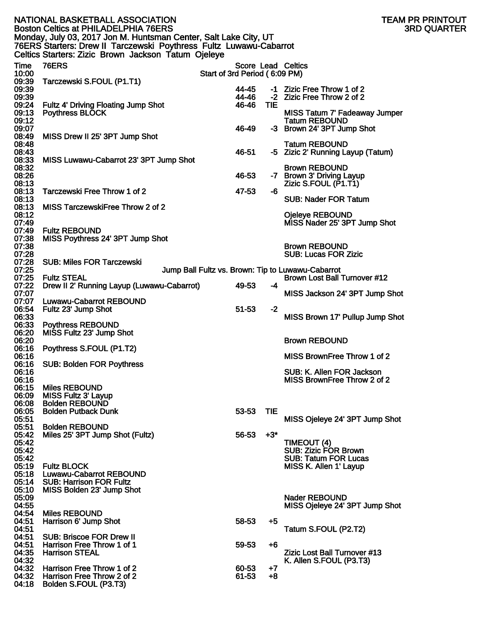|                                                                                                                                                                                               | NATIONAL BASKETBALL ASSOCIATION<br><b>Boston Celtics at PHILADELPHIA 76ERS</b> |                               |            | TEAM PR PRINTOUT<br><b>3RD QUARTER</b>                                            |  |  |
|-----------------------------------------------------------------------------------------------------------------------------------------------------------------------------------------------|--------------------------------------------------------------------------------|-------------------------------|------------|-----------------------------------------------------------------------------------|--|--|
| Monday, July 03, 2017 Jon M. Huntsman Center, Salt Lake City, UT<br>76ERS Starters: Drew II Tarczewski Poythress Fultz Luwawu-Cabarrot<br>Celtics Starters: Zizic Brown Jackson Tatum Ojeleye |                                                                                |                               |            |                                                                                   |  |  |
| Time<br>10:00                                                                                                                                                                                 | <b>76ERS</b>                                                                   | Start of 3rd Period (6:09 PM) |            | Score Lead Celtics                                                                |  |  |
| 09:39                                                                                                                                                                                         | Tarczewski S.FOUL (P1.T1)                                                      |                               |            |                                                                                   |  |  |
| 09:39                                                                                                                                                                                         |                                                                                | 44-45<br>44-46                |            | -1 Zizic Free Throw 1 of 2                                                        |  |  |
| 09:39<br>09:24                                                                                                                                                                                | Fultz 4' Driving Floating Jump Shot                                            | 46-46                         | <b>TIE</b> | -2 Zizic Free Throw 2 of 2                                                        |  |  |
| 09:13                                                                                                                                                                                         | <b>Poythress BLOCK</b>                                                         |                               |            | <b>MISS Tatum 7' Fadeaway Jumper</b>                                              |  |  |
| 09:12<br>09:07                                                                                                                                                                                |                                                                                | 46-49                         |            | <b>Tatum REBOUND</b>                                                              |  |  |
| 08:49                                                                                                                                                                                         | MISS Drew II 25' 3PT Jump Shot                                                 |                               |            | -3 Brown 24' 3PT Jump Shot                                                        |  |  |
| 08:48                                                                                                                                                                                         |                                                                                |                               |            | <b>Tatum REBOUND</b>                                                              |  |  |
| 08:43<br>08:33                                                                                                                                                                                | MISS Luwawu-Cabarrot 23' 3PT Jump Shot                                         | 46-51                         |            | -5 Zizic 2' Running Layup (Tatum)                                                 |  |  |
| 08:32                                                                                                                                                                                         |                                                                                |                               |            | <b>Brown REBOUND</b>                                                              |  |  |
| 08:26                                                                                                                                                                                         |                                                                                | 46-53                         |            | -7 Brown 3' Driving Layup                                                         |  |  |
| 08:13<br>08:13                                                                                                                                                                                | Tarczewski Free Throw 1 of 2                                                   | 47-53                         | -6         | Zizic S.FOUL (P1.T1)                                                              |  |  |
| 08:13                                                                                                                                                                                         |                                                                                |                               |            | <b>SUB: Nader FOR Tatum</b>                                                       |  |  |
| 08:13<br>08:12                                                                                                                                                                                | MISS TarczewskiFree Throw 2 of 2                                               |                               |            | Ojeleye REBOUND                                                                   |  |  |
| 07:49                                                                                                                                                                                         |                                                                                |                               |            | MISS Nader 25' 3PT Jump Shot                                                      |  |  |
| 07:49                                                                                                                                                                                         | <b>Fultz REBOUND</b>                                                           |                               |            |                                                                                   |  |  |
| 07:38<br>07:38                                                                                                                                                                                | MISS Poythress 24' 3PT Jump Shot                                               |                               |            | <b>Brown REBOUND</b>                                                              |  |  |
| 07:28                                                                                                                                                                                         |                                                                                |                               |            | <b>SUB: Lucas FOR Zizic</b>                                                       |  |  |
| 07:28                                                                                                                                                                                         | <b>SUB: Miles FOR Tarczewski</b>                                               |                               |            |                                                                                   |  |  |
| 07:25<br>07:25                                                                                                                                                                                | <b>Fultz STEAL</b>                                                             |                               |            | Jump Ball Fultz vs. Brown: Tip to Luwawu-Cabarrot<br>Brown Lost Ball Turnover #12 |  |  |
| 07:22                                                                                                                                                                                         | Drew II 2' Running Layup (Luwawu-Cabarrot)                                     | 49-53                         | -4         |                                                                                   |  |  |
| 07:07<br>07:07                                                                                                                                                                                | <b>Luwawu-Cabarrot REBOUND</b>                                                 |                               |            | MISS Jackson 24' 3PT Jump Shot                                                    |  |  |
| 06:54                                                                                                                                                                                         | Fultz 23' Jump Shot                                                            | $51 - 53$                     | $-2$       |                                                                                   |  |  |
| 06:33                                                                                                                                                                                         |                                                                                |                               |            | MISS Brown 17' Pullup Jump Shot                                                   |  |  |
| 06:33<br>06:20                                                                                                                                                                                | <b>Poythress REBOUND</b><br>MISS Fultz 23' Jump Shot                           |                               |            |                                                                                   |  |  |
| 06:20                                                                                                                                                                                         |                                                                                |                               |            | <b>Brown REBOUND</b>                                                              |  |  |
| 06:16<br>06:16                                                                                                                                                                                | Poythress S.FOUL (P1.T2)                                                       |                               |            | MISS BrownFree Throw 1 of 2                                                       |  |  |
| 06:16                                                                                                                                                                                         | <b>SUB: Bolden FOR Poythress</b>                                               |                               |            |                                                                                   |  |  |
| 06:16                                                                                                                                                                                         |                                                                                |                               |            | SUB: K. Allen FOR Jackson                                                         |  |  |
| 06:16<br>06:15                                                                                                                                                                                | <b>Miles REBOUND</b>                                                           |                               |            | MISS BrownFree Throw 2 of 2                                                       |  |  |
| 06:09                                                                                                                                                                                         | <b>MISS Fultz 3' Layup</b>                                                     |                               |            |                                                                                   |  |  |
| 06:08                                                                                                                                                                                         | <b>Bolden REBOUND</b>                                                          |                               |            |                                                                                   |  |  |
| 06:05<br>05:51                                                                                                                                                                                | <b>Bolden Putback Dunk</b>                                                     | 53-53                         | <b>TIE</b> | MISS Ojeleye 24' 3PT Jump Shot                                                    |  |  |
| 05:51                                                                                                                                                                                         | <b>Bolden REBOUND</b>                                                          |                               |            |                                                                                   |  |  |
| 05:42<br>05:42                                                                                                                                                                                | Miles 25' 3PT Jump Shot (Fultz)                                                | 56-53                         | $+3"$      | TIMEOUT (4)                                                                       |  |  |
| 05:42                                                                                                                                                                                         |                                                                                |                               |            | SUB: Zizic FOR Brown                                                              |  |  |
| 05:42                                                                                                                                                                                         |                                                                                |                               |            | <b>SUB: Tatum FOR Lucas</b>                                                       |  |  |
| 05:19<br>05:18                                                                                                                                                                                | <b>Fultz BLOCK</b><br><b>Luwawu-Cabarrot REBOUND</b>                           |                               |            | MISS K. Allen 1' Layup                                                            |  |  |
| 05:14                                                                                                                                                                                         | <b>SUB: Harrison FOR Fultz</b>                                                 |                               |            |                                                                                   |  |  |
| 05:10                                                                                                                                                                                         | MISS Bolden 23' Jump Shot                                                      |                               |            |                                                                                   |  |  |
| 05:09<br>04:55                                                                                                                                                                                |                                                                                |                               |            | <b>Nader REBOUND</b><br>MISS Ojeleye 24' 3PT Jump Shot                            |  |  |
| 04:54                                                                                                                                                                                         | <b>Miles REBOUND</b>                                                           |                               |            |                                                                                   |  |  |
| 04:51<br>04:51                                                                                                                                                                                | Harrison 6' Jump Shot                                                          | 58-53                         | $+5$       | Tatum S.FOUL (P2.T2)                                                              |  |  |
| 04:51                                                                                                                                                                                         | <b>SUB: Briscoe FOR Drew II</b>                                                |                               |            |                                                                                   |  |  |
| 04:51                                                                                                                                                                                         | Harrison Free Throw 1 of 1                                                     | 59-53                         | +6         |                                                                                   |  |  |
| 04:35<br>04:32                                                                                                                                                                                | <b>Harrison STEAL</b>                                                          |                               |            | Zizic Lost Ball Turnover #13<br>K. Allen S.FOUL (P3.T3)                           |  |  |
| 04:32                                                                                                                                                                                         | Harrison Free Throw 1 of 2                                                     | 60-53                         | $+7$       |                                                                                   |  |  |
| 04:32<br>04:18                                                                                                                                                                                | Harrison Free Throw 2 of 2<br>Bolden S.FOUL (P3.T3)                            | 61-53                         | $+8$       |                                                                                   |  |  |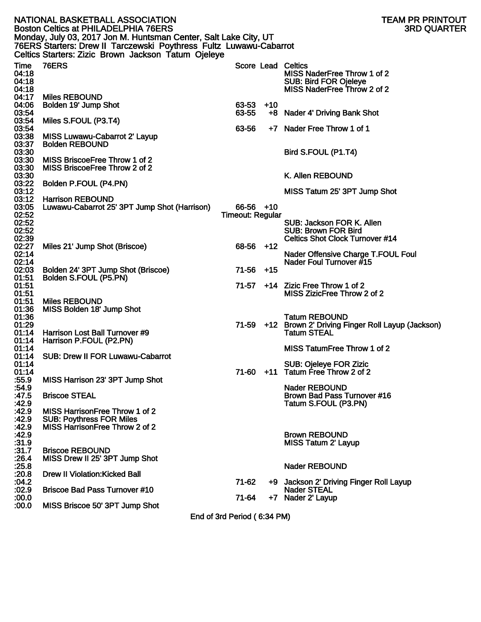|                                           | NATIONAL BASKETBALL ASSOCIATION<br><b>Boston Celtics at PHILADELPHIA 76ERS</b><br>Monday, July 03, 2017 Jon M. Huntsman Center, Salt Lake City, UT |                             |       | TEAM PR PRINTOUT<br><b>3RD QUARTER</b>                                                                           |
|-------------------------------------------|----------------------------------------------------------------------------------------------------------------------------------------------------|-----------------------------|-------|------------------------------------------------------------------------------------------------------------------|
|                                           | 76ERS Starters: Drew II Tarczewski Poythress Fultz Luwawu-Cabarrot<br>Celtics Starters: Zizic Brown Jackson Tatum Ojeleye                          |                             |       |                                                                                                                  |
| Time<br>04:18<br>04:18<br>04:18           | <b>76ERS</b>                                                                                                                                       |                             |       | Score Lead Celtics<br>MISS NaderFree Throw 1 of 2<br><b>SUB: Bird FOR Ojeleye</b><br>MISS NaderFree Throw 2 of 2 |
| 04:17<br>04:06<br>03:54                   | <b>Miles REBOUND</b><br>Bolden 19' Jump Shot                                                                                                       | $63-53$ +10<br>63-55        |       | +8 Nader 4' Driving Bank Shot                                                                                    |
| 03:54<br>03:54<br>03:38                   | Miles S.FOUL (P3.T4)<br>MISS Luwawu-Cabarrot 2' Layup                                                                                              | 63-56                       |       | +7 Nader Free Throw 1 of 1                                                                                       |
| 03:37<br>03:30<br>03:30                   | <b>Bolden REBOUND</b><br>MISS BriscoeFree Throw 1 of 2                                                                                             |                             |       | Bird S.FOUL (P1.T4)                                                                                              |
| 03:30<br>03:30<br>03:22                   | MISS BriscoeFree Throw 2 of 2<br>Bolden P.FOUL (P4.PN)                                                                                             |                             |       | K. Allen REBOUND                                                                                                 |
| 03:12<br>03:12<br>03:05                   | <b>Harrison REBOUND</b><br>Luwawu-Cabarrot 25' 3PT Jump Shot (Harrison)                                                                            | $66-56$ +10                 |       | MISS Tatum 25' 3PT Jump Shot                                                                                     |
| 02:52<br>02:52<br>02:52<br>02:39          |                                                                                                                                                    | <b>Timeout: Regular</b>     |       | SUB: Jackson FOR K. Allen<br><b>SUB: Brown FOR Bird</b><br><b>Celtics Shot Clock Turnover #14</b>                |
| 02:27<br>02:14<br>02:14                   | Miles 21' Jump Shot (Briscoe)                                                                                                                      | $68-56$ +12                 |       | Nader Offensive Charge T.FOUL Foul<br>Nader Foul Turnover #15                                                    |
| 02:03<br>01:51<br>01:51                   | Bolden 24' 3PT Jump Shot (Briscoe)<br>Bolden S.FOUL (P5.PN)                                                                                        | 71-56<br>71-57              | $+15$ | +14 Zizic Free Throw 1 of 2                                                                                      |
| 01:51<br>01:51<br>01:36                   | <b>Miles REBOUND</b><br>MISS Bolden 18' Jump Shot                                                                                                  |                             |       | MISS ZizicFree Throw 2 of 2                                                                                      |
| 01:36<br>01:29<br>01:14                   | Harrison Lost Ball Turnover #9                                                                                                                     |                             |       | <b>Tatum REBOUND</b><br>71-59 +12 Brown 2' Driving Finger Roll Layup (Jackson)<br><b>Tatum STEAL</b>             |
| 01:14<br>01:14                            | Harrison P.FOUL (P2.PN)<br>01:14 SUB: Drew II FOR Luwawu-Cabarrot                                                                                  |                             |       | MISS TatumFree Throw 1 of 2                                                                                      |
| 01:14<br>01:14<br>:55.9                   | MISS Harrison 23' 3PT Jump Shot                                                                                                                    | 71-60                       | $+11$ | SUB: Ojeleye FOR Zizic<br>Tatum Free Throw 2 of 2                                                                |
| :54.9<br>:47.5<br>:42.9                   | <b>Briscoe STEAL</b>                                                                                                                               |                             |       | <b>Nader REBOUND</b><br>Brown Bad Pass Turnover #16<br>Tatum S.FOUL (P3.PN)                                      |
| :42.9<br>:42.9<br>:42.9<br>.42.9<br>:31.9 | MISS Harrison Free Throw 1 of 2<br><b>SUB: Poythress FOR Miles</b><br>MISS HarrisonFree Throw 2 of 2                                               |                             |       | <b>Brown REBOUND</b><br><b>MISS Tatum 2' Layup</b>                                                               |
| :31.7<br>:26.4<br>:25.8                   | <b>Briscoe REBOUND</b><br>MISS Drew II 25' 3PT Jump Shot                                                                                           |                             |       | <b>Nader REBOUND</b>                                                                                             |
| :20.8<br>:04.2<br>:02.9                   | <b>Drew II Violation: Kicked Ball</b><br><b>Briscoe Bad Pass Turnover #10</b>                                                                      | 71-62                       |       | +9 Jackson 2' Driving Finger Roll Layup<br><b>Nader STEAL</b>                                                    |
| :00.0<br>:00.0                            | MISS Briscoe 50' 3PT Jump Shot                                                                                                                     | 71-64                       |       | +7 Nader 2' Layup                                                                                                |
|                                           |                                                                                                                                                    | End of 3rd Period (6:34 PM) |       |                                                                                                                  |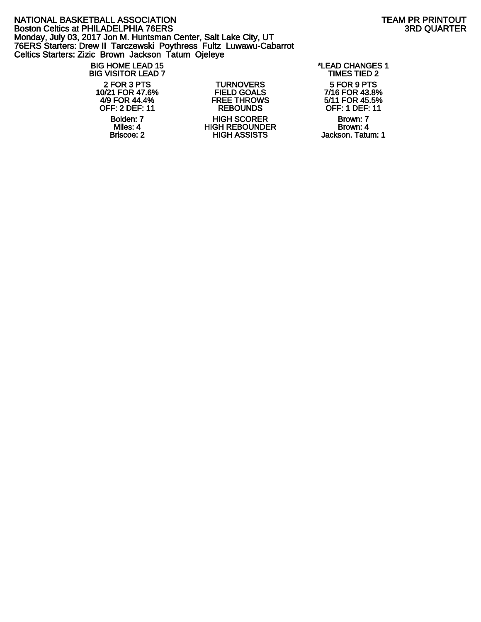#### NATIONAL BASKETBALL ASSOCIATION<br>Boston Celtics at PHILADELPHIA 76ERS<br>3RD QUARTER Boston Celtics at PHILADELPHIA 76ERS Monday, July 03, 2017 Jon M. Huntsman Center, Salt Lake City, UT 76ERS Starters: Drew II Tarczewski Poythress Fultz Luwawu-Cabarrot Celtics Starters: Zizic Brown Jackson Tatum Ojeleye

#### BIG HOME LEAD 15 \*LEAD CHANGES 1 **BIG VISITOR LEAD 7**

2 FOR 3 PTS TURNOVERS 5 FOR 9 PTS 10/21 FOR 47.6% FIELD GOALS 7/16 FOR 43.8%<br>4/9 FOR 44.4% FREE THROWS 5/11 FOR 45.5% 4/9 FOR 44.4% FREE THROWS<br>OFF: 2 DEF: 11 REBOUNDS Polden: 7 **HIGH SCORER** Brown: 7 **HIGH SCORER** Brown: 7 **Brown: 4** Brown: 4 Miles: 4 HIGH REBOUNDER<br>Briscoe: 2 HIGH ASSISTS

OFF: 1 DEF: 11

Jackson. Tatum: 1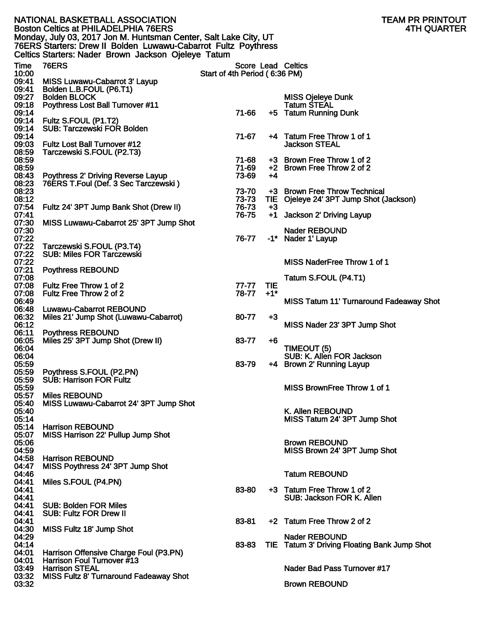|                | NATIONAL BASKETBALL ASSOCIATION<br><b>Boston Celtics at PHILADELPHIA 76ERS</b>                                                                                                            |                               |       | TEAM PR PRINTOUT<br><b>4TH QUARTER</b>                   |
|----------------|-------------------------------------------------------------------------------------------------------------------------------------------------------------------------------------------|-------------------------------|-------|----------------------------------------------------------|
|                | Monday, July 03, 2017 Jon M. Huntsman Center, Salt Lake City, UT<br>76ERS Starters: Drew II Bolden Luwawu-Cabarrot Fultz Poythress<br>Celtics Starters: Nader Brown Jackson Ojeleye Tatum |                               |       |                                                          |
| Time           | <b>76ERS</b>                                                                                                                                                                              |                               |       | Score Lead Celtics                                       |
| 10:00          |                                                                                                                                                                                           | Start of 4th Period (6:36 PM) |       |                                                          |
| 09:41<br>09:41 | MISS Luwawu-Cabarrot 3' Layup<br>Bolden L.B.FOUL (P6.T1)                                                                                                                                  |                               |       |                                                          |
| 09:27          | <b>Bolden BLOCK</b>                                                                                                                                                                       |                               |       | <b>MISS Ojeleye Dunk</b>                                 |
| 09:18          | <b>Poythress Lost Ball Turnover #11</b>                                                                                                                                                   |                               |       | <b>Tatum STEAL</b>                                       |
| 09:14          |                                                                                                                                                                                           | 71-66                         |       | +5 Tatum Running Dunk                                    |
| 09:14          | 09:14 Fultz S.FOUL (P1.T2)<br><b>SUB: Tarczewski FOR Bolden</b>                                                                                                                           |                               |       |                                                          |
| 09:14          |                                                                                                                                                                                           | 71-67                         |       | +4 Tatum Free Throw 1 of 1                               |
| 09:03          | <b>Fultz Lost Ball Turnover #12</b>                                                                                                                                                       |                               |       | <b>Jackson STEAL</b>                                     |
| 08:59          | Tarczewski S.FOUL (P2.T3)                                                                                                                                                                 |                               |       |                                                          |
| 08:59<br>08:59 |                                                                                                                                                                                           | 71-68<br>71-69                |       | +3 Brown Free Throw 1 of 2<br>+2 Brown Free Throw 2 of 2 |
| 08:43          | Poythress 2' Driving Reverse Layup                                                                                                                                                        | 73-69                         | +4    |                                                          |
| 08:23          | 76ERS T.Foul (Def. 3 Sec Tarczewski)                                                                                                                                                      |                               |       |                                                          |
| 08:23          |                                                                                                                                                                                           | 73-70<br>73-73                |       | +3 Brown Free Throw Technical                            |
| 08:12<br>07:54 | Fultz 24' 3PT Jump Bank Shot (Drew II)                                                                                                                                                    | 76-73                         | $+3$  | TIE Ojeleye 24' 3PT Jump Shot (Jackson)                  |
| 07:41          |                                                                                                                                                                                           | 76-75                         |       | +1 Jackson 2' Driving Layup                              |
| 07:30          | MISS Luwawu-Cabarrot 25' 3PT Jump Shot                                                                                                                                                    |                               |       |                                                          |
| 07:30<br>07:22 |                                                                                                                                                                                           | 76-77                         |       | <b>Nader REBOUND</b>                                     |
| 07:22          | Tarczewski S.FOUL (P3.T4)                                                                                                                                                                 |                               |       | -1* Nader 1' Layup                                       |
| 07:22          | <b>SUB: Miles FOR Tarczewski</b>                                                                                                                                                          |                               |       |                                                          |
| 07:22          |                                                                                                                                                                                           |                               |       | MISS NaderFree Throw 1 of 1                              |
| 07:21<br>07:08 | <b>Poythress REBOUND</b>                                                                                                                                                                  |                               |       | Tatum S.FOUL (P4.T1)                                     |
| 07:08          | Fultz Free Throw 1 of 2                                                                                                                                                                   | 77-77                         | TIE   |                                                          |
| 07:08          | Fultz Free Throw 2 of 2                                                                                                                                                                   | 78-77                         | $+1"$ |                                                          |
| 06:49          |                                                                                                                                                                                           |                               |       | <b>MISS Tatum 11' Turnaround Fadeaway Shot</b>           |
| 06:48<br>06:32 | <b>Luwawu-Cabarrot REBOUND</b><br>Miles 21' Jump Shot (Luwawu-Cabarrot)                                                                                                                   | 80-77                         | $+3$  |                                                          |
| 06:12          |                                                                                                                                                                                           |                               |       | MISS Nader 23' 3PT Jump Shot                             |
| 06:11          | <b>Poythress REBOUND</b>                                                                                                                                                                  |                               |       |                                                          |
| 06:05          | Miles 25' 3PT Jump Shot (Drew II)                                                                                                                                                         | 83-77                         | +6    |                                                          |
| 06:04<br>06:04 |                                                                                                                                                                                           |                               |       | TIMEOUT (5)<br>SUB: K. Allen FOR Jackson                 |
| 05:59          |                                                                                                                                                                                           | 83-79                         |       | +4 Brown 2' Running Layup                                |
| 05:59          | Poythress S.FOUL (P2.PN)                                                                                                                                                                  |                               |       |                                                          |
| 05:59<br>05:59 | <b>SUB: Harrison FOR Fultz</b>                                                                                                                                                            |                               |       | MISS BrownFree Throw 1 of 1                              |
| 05:57          | <b>Miles REBOUND</b>                                                                                                                                                                      |                               |       |                                                          |
| 05:40          | MISS Luwawu-Cabarrot 24' 3PT Jump Shot                                                                                                                                                    |                               |       |                                                          |
| 05:40          |                                                                                                                                                                                           |                               |       | K. Allen REBOUND                                         |
| 05:14<br>05:14 | <b>Harrison REBOUND</b>                                                                                                                                                                   |                               |       | MISS Tatum 24' 3PT Jump Shot                             |
| 05:07          | MISS Harrison 22' Pullup Jump Shot                                                                                                                                                        |                               |       |                                                          |
| 05:06          |                                                                                                                                                                                           |                               |       | <b>Brown REBOUND</b>                                     |
| 04:59          | <b>Harrison REBOUND</b>                                                                                                                                                                   |                               |       | MISS Brown 24' 3PT Jump Shot                             |
| 04:58<br>04:47 | MISS Poythress 24' 3PT Jump Shot                                                                                                                                                          |                               |       |                                                          |
| 04:46          |                                                                                                                                                                                           |                               |       | <b>Tatum REBOUND</b>                                     |
| 04:41          | Miles S.FOUL (P4.PN)                                                                                                                                                                      |                               |       |                                                          |
| 04:41<br>04:41 |                                                                                                                                                                                           | 83-80                         |       | +3 Tatum Free Throw 1 of 2<br>SUB: Jackson FOR K. Allen  |
| 04:41          | <b>SUB: Bolden FOR Miles</b>                                                                                                                                                              |                               |       |                                                          |
| 04:41          | <b>SUB: Fultz FOR Drew II</b>                                                                                                                                                             |                               |       |                                                          |
| 04:41          |                                                                                                                                                                                           | 83-81                         |       | +2 Tatum Free Throw 2 of 2                               |
| 04:30<br>04:29 | MISS Fultz 18' Jump Shot                                                                                                                                                                  |                               |       | <b>Nader REBOUND</b>                                     |
| 04:14          |                                                                                                                                                                                           | 83-83                         |       | TIE Tatum 3' Driving Floating Bank Jump Shot             |
| 04:01          | Harrison Offensive Charge Foul (P3.PN)                                                                                                                                                    |                               |       |                                                          |
| 04:01          | Harrison Foul Turnover #13<br><b>Harrison STEAL</b>                                                                                                                                       |                               |       | Nader Bad Pass Turnover #17                              |
| 03:49<br>03:32 | <b>MISS Fultz 8' Turnaround Fadeaway Shot</b>                                                                                                                                             |                               |       |                                                          |
| 03:32          |                                                                                                                                                                                           |                               |       | <b>Brown REBOUND</b>                                     |
|                |                                                                                                                                                                                           |                               |       |                                                          |